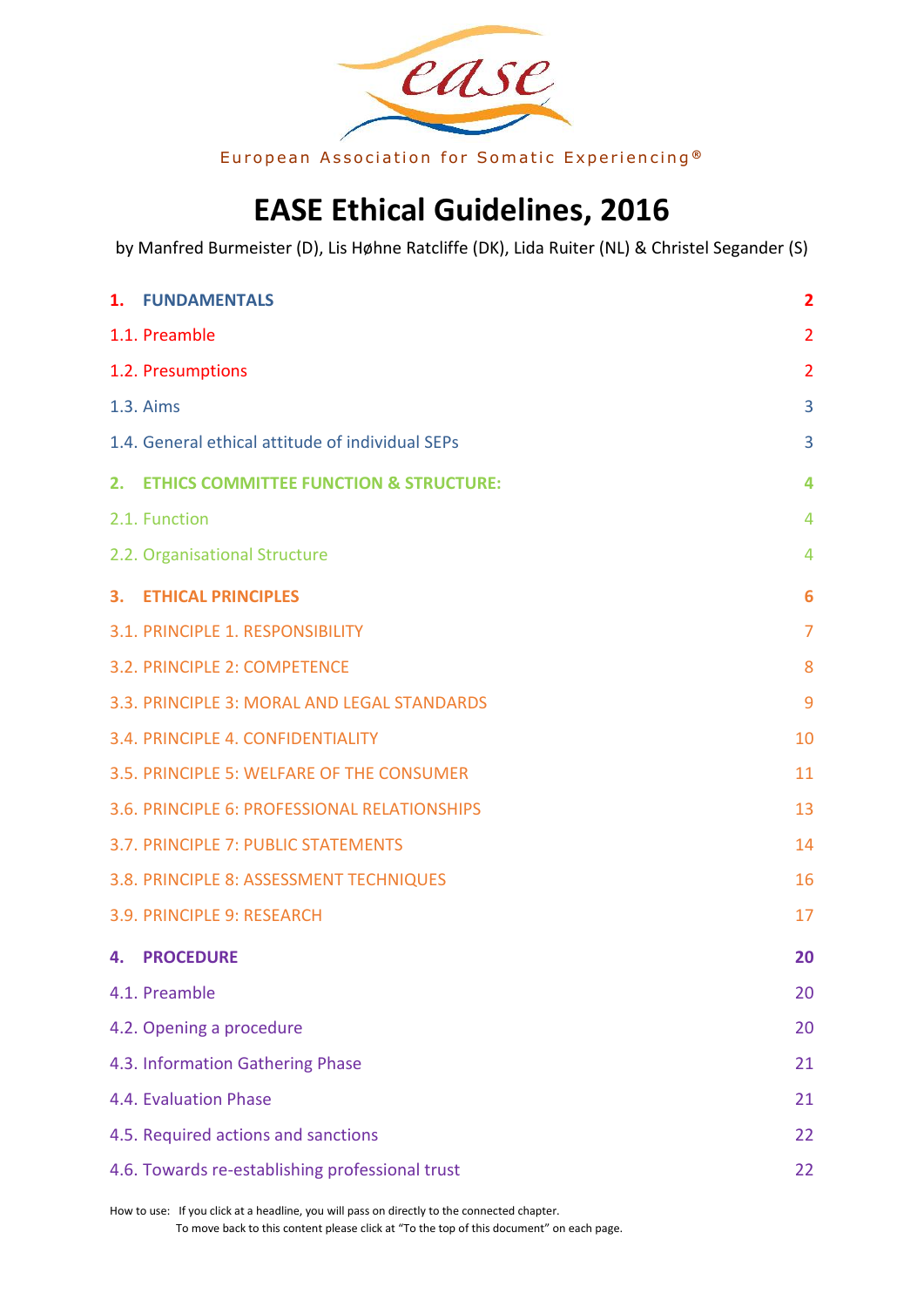

European Association for Somatic Experiencing<sup>®</sup>

# **EASE Ethical Guidelines, 2016**

<span id="page-0-0"></span>by Manfred Burmeister (D), Lis Høhne Ratcliffe (DK), Lida Ruiter (NL) & Christel Segander (S)

|    | 1. FUNDAMENTALS                                  | $\overline{\mathbf{2}}$ |
|----|--------------------------------------------------|-------------------------|
|    | 1.1. Preamble                                    | $\overline{2}$          |
|    | 1.2. Presumptions                                | $\overline{2}$          |
|    | 1.3. Aims                                        | 3                       |
|    | 1.4. General ethical attitude of individual SEPs | 3                       |
|    | 2. ETHICS COMMITTEE FUNCTION & STRUCTURE:        | 4                       |
|    | 2.1. Function                                    | 4                       |
|    | 2.2. Organisational Structure                    | 4                       |
|    | <b>3. ETHICAL PRINCIPLES</b>                     | 6                       |
|    | 3.1. PRINCIPLE 1. RESPONSIBILITY                 | $\overline{7}$          |
|    | 3.2. PRINCIPLE 2: COMPETENCE                     | 8                       |
|    | 3.3. PRINCIPLE 3: MORAL AND LEGAL STANDARDS      | 9                       |
|    | 3.4. PRINCIPLE 4. CONFIDENTIALITY                | 10                      |
|    | 3.5. PRINCIPLE 5: WELFARE OF THE CONSUMER        | 11                      |
|    | 3.6. PRINCIPLE 6: PROFESSIONAL RELATIONSHIPS     | 13                      |
|    | 3.7. PRINCIPLE 7: PUBLIC STATEMENTS              | 14                      |
|    | 3.8. PRINCIPLE 8: ASSESSMENT TECHNIQUES          | 16                      |
|    | 3.9. PRINCIPLE 9: RESEARCH                       | 17                      |
| 4. | <b>PROCEDURE</b>                                 | 20                      |
|    | 4.1. Preamble                                    | 20                      |
|    | 4.2. Opening a procedure                         | 20                      |
|    | 4.3. Information Gathering Phase                 | 21                      |
|    | 4.4. Evaluation Phase                            | 21                      |
|    | 4.5. Required actions and sanctions              | 22                      |
|    | 4.6. Towards re-establishing professional trust  | 22                      |

How to use: If you click at a headline, you will pass on directly to the connected chapter. To move back to this content please click at "[To the top of this document](#page-0-0)" on each page.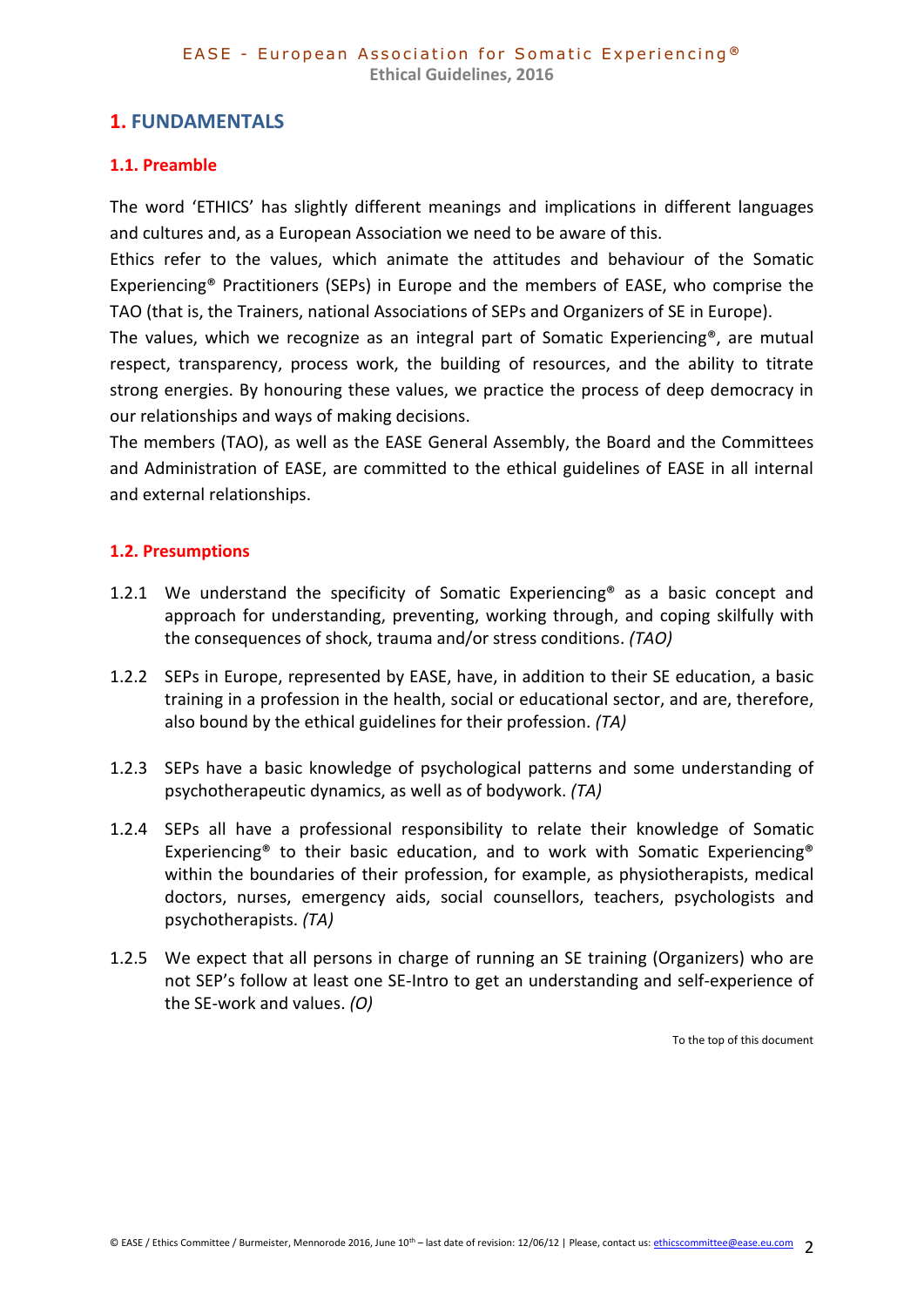# <span id="page-1-0"></span>**1. FUNDAMENTALS**

# <span id="page-1-1"></span>**1.1. Preamble**

The word 'ETHICS' has slightly different meanings and implications in different languages and cultures and, as a European Association we need to be aware of this.

Ethics refer to the values, which animate the attitudes and behaviour of the Somatic Experiencing® Practitioners (SEPs) in Europe and the members of EASE, who comprise the TAO (that is, the Trainers, national Associations of SEPs and Organizers of SE in Europe).

The values, which we recognize as an integral part of Somatic Experiencing®, are mutual respect, transparency, process work, the building of resources, and the ability to titrate strong energies. By honouring these values, we practice the process of deep democracy in our relationships and ways of making decisions.

The members (TAO), as well as the EASE General Assembly, the Board and the Committees and Administration of EASE, are committed to the ethical guidelines of EASE in all internal and external relationships.

### <span id="page-1-2"></span>**1.2. Presumptions**

- 1.2.1 We understand the specificity of Somatic Experiencing<sup>®</sup> as a basic concept and approach for understanding, preventing, working through, and coping skilfully with the consequences of shock, trauma and/or stress conditions. *(TAO)*
- 1.2.2 SEPs in Europe, represented by EASE, have, in addition to their SE education, a basic training in a profession in the health, social or educational sector, and are, therefore, also bound by the ethical guidelines for their profession. *(TA)*
- 1.2.3 SEPs have a basic knowledge of psychological patterns and some understanding of psychotherapeutic dynamics, as well as of bodywork. *(TA)*
- 1.2.4 SEPs all have a professional responsibility to relate their knowledge of Somatic Experiencing® to their basic education, and to work with Somatic Experiencing® within the boundaries of their profession, for example, as physiotherapists, medical doctors, nurses, emergency aids, social counsellors, teachers, psychologists and psychotherapists. *(TA)*
- 1.2.5 We expect that all persons in charge of running an SE training (Organizers) who are not SEP's follow at least one SE-Intro to get an understanding and self-experience of the SE-work and values. *(O)*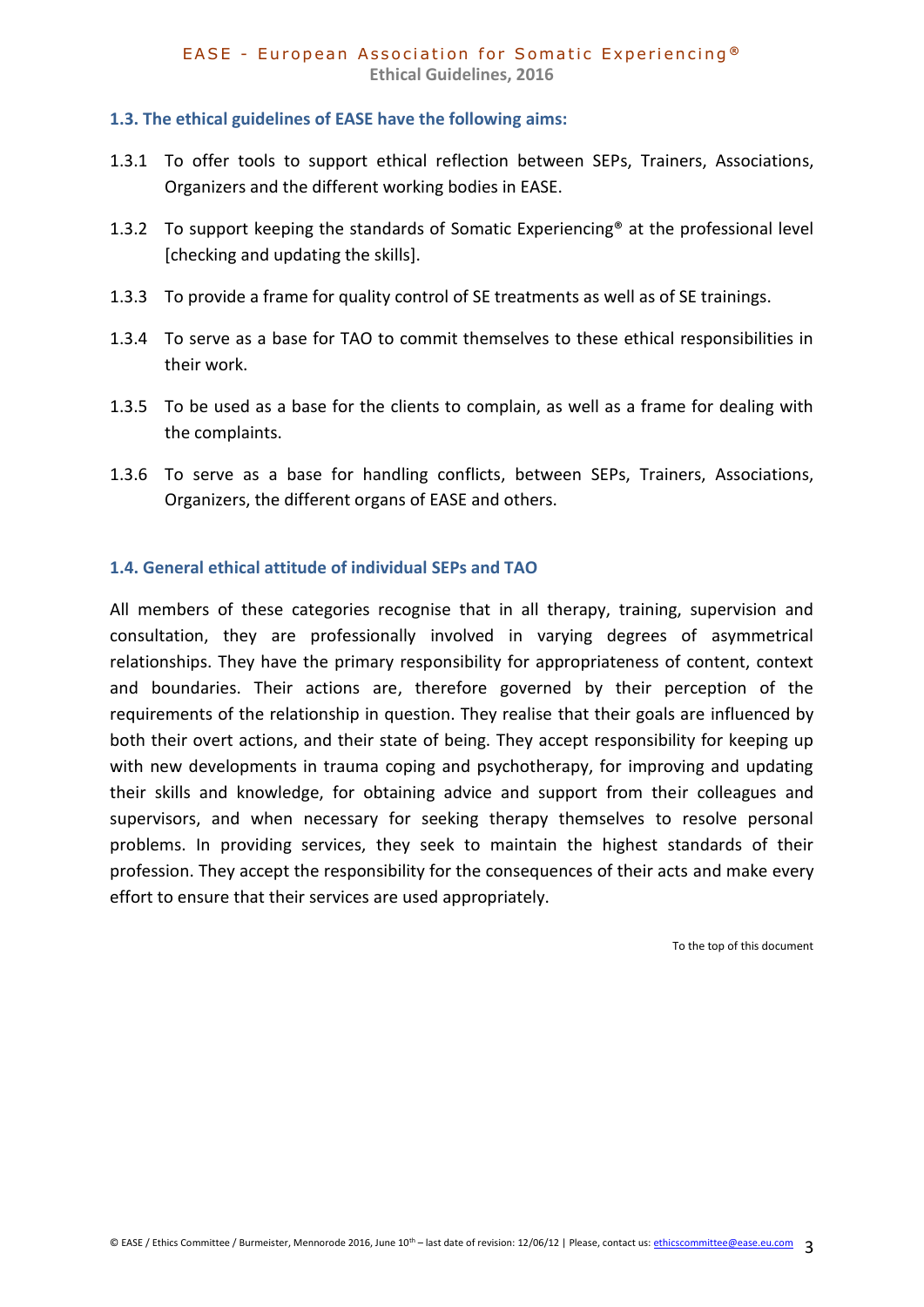#### <span id="page-2-0"></span>**1.3. The ethical guidelines of EASE have the following aims:**

- 1.3.1 To offer tools to support ethical reflection between SEPs, Trainers, Associations, Organizers and the different working bodies in EASE.
- 1.3.2 To support keeping the standards of Somatic Experiencing<sup>®</sup> at the professional level [checking and updating the skills].
- 1.3.3 To provide a frame for quality control of SE treatments as well as of SE trainings.
- 1.3.4 To serve as a base for TAO to commit themselves to these ethical responsibilities in their work.
- 1.3.5 To be used as a base for the clients to complain, as well as a frame for dealing with the complaints.
- 1.3.6 To serve as a base for handling conflicts, between SEPs, Trainers, Associations, Organizers, the different organs of EASE and others.

### <span id="page-2-1"></span>**1.4. General ethical attitude of individual SEPs and TAO**

All members of these categories recognise that in all therapy, training, supervision and consultation, they are professionally involved in varying degrees of asymmetrical relationships. They have the primary responsibility for appropriateness of content, context and boundaries. Their actions are, therefore governed by their perception of the requirements of the relationship in question. They realise that their goals are influenced by both their overt actions, and their state of being. They accept responsibility for keeping up with new developments in trauma coping and psychotherapy, for improving and updating their skills and knowledge, for obtaining advice and support from their colleagues and supervisors, and when necessary for seeking therapy themselves to resolve personal problems. In providing services, they seek to maintain the highest standards of their profession. They accept the responsibility for the consequences of their acts and make every effort to ensure that their services are used appropriately.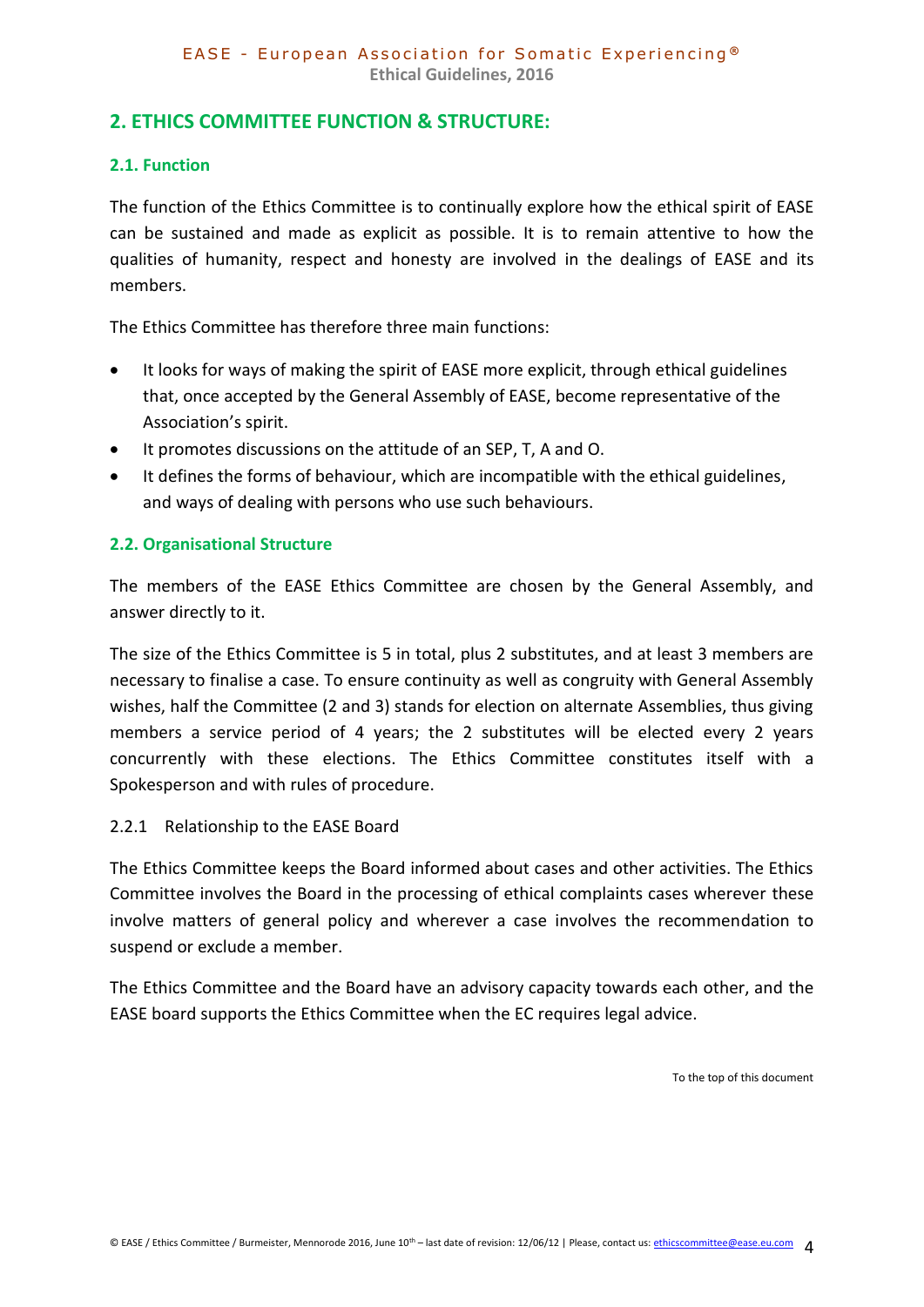# <span id="page-3-0"></span>**2. ETHICS COMMITTEE FUNCTION & STRUCTURE:**

## <span id="page-3-1"></span>**2.1. Function**

The function of the Ethics Committee is to continually explore how the ethical spirit of EASE can be sustained and made as explicit as possible. It is to remain attentive to how the qualities of humanity, respect and honesty are involved in the dealings of EASE and its members.

The Ethics Committee has therefore three main functions:

- It looks for ways of making the spirit of EASE more explicit, through ethical guidelines that, once accepted by the General Assembly of EASE, become representative of the Association's spirit.
- It promotes discussions on the attitude of an SEP, T, A and O.
- It defines the forms of behaviour, which are incompatible with the ethical guidelines, and ways of dealing with persons who use such behaviours.

# <span id="page-3-2"></span>**2.2. Organisational Structure**

The members of the EASE Ethics Committee are chosen by the General Assembly, and answer directly to it.

The size of the Ethics Committee is 5 in total, plus 2 substitutes, and at least 3 members are necessary to finalise a case. To ensure continuity as well as congruity with General Assembly wishes, half the Committee (2 and 3) stands for election on alternate Assemblies, thus giving members a service period of 4 years; the 2 substitutes will be elected every 2 years concurrently with these elections. The Ethics Committee constitutes itself with a Spokesperson and with rules of procedure.

### 2.2.1 Relationship to the EASE Board

The Ethics Committee keeps the Board informed about cases and other activities. The Ethics Committee involves the Board in the processing of ethical complaints cases wherever these involve matters of general policy and wherever a case involves the recommendation to suspend or exclude a member.

The Ethics Committee and the Board have an advisory capacity towards each other, and the EASE board supports the Ethics Committee when the EC requires legal advice.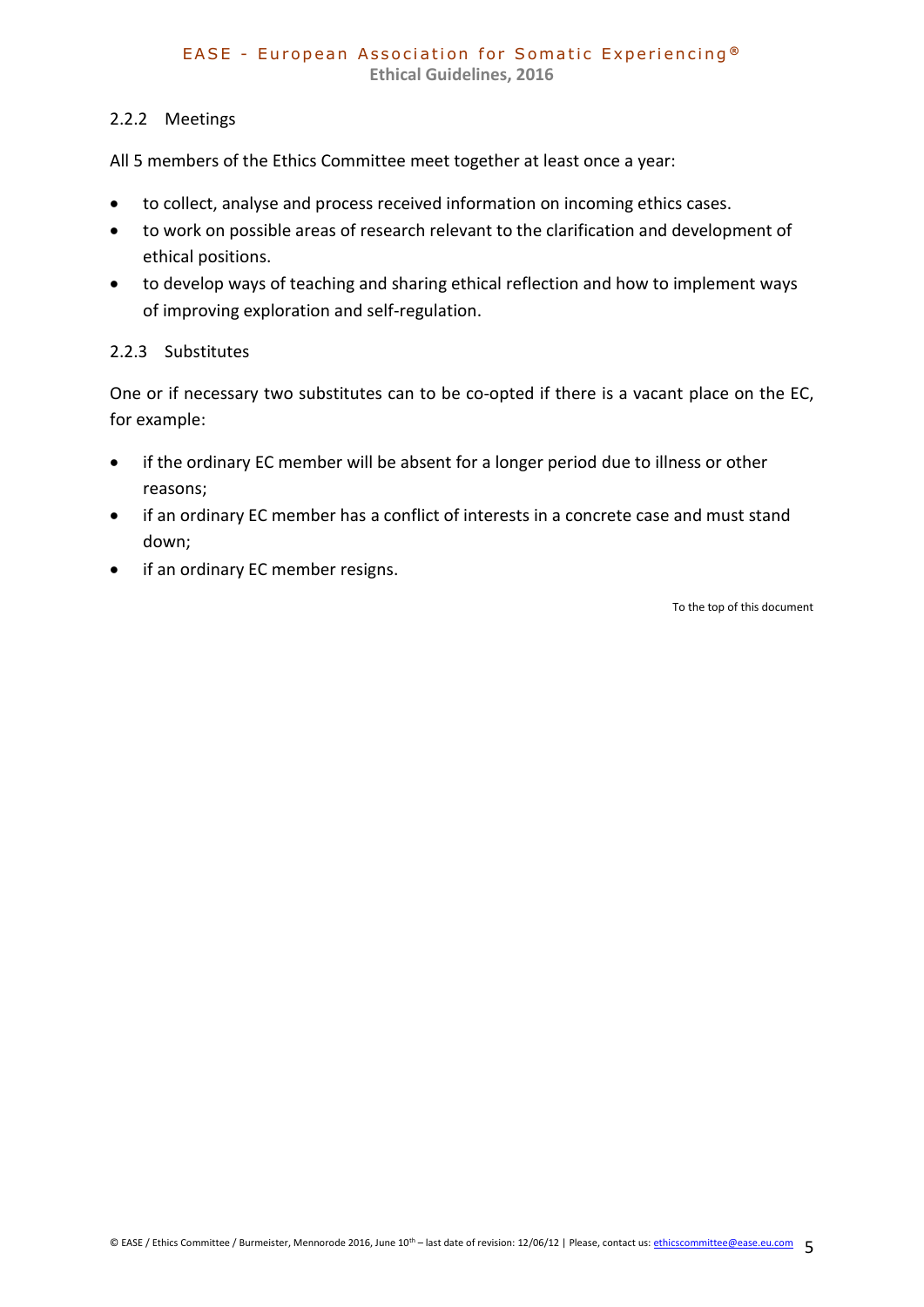# 2.2.2 Meetings

All 5 members of the Ethics Committee meet together at least once a year:

- to collect, analyse and process received information on incoming ethics cases.
- to work on possible areas of research relevant to the clarification and development of ethical positions.
- to develop ways of teaching and sharing ethical reflection and how to implement ways of improving exploration and self-regulation.

# 2.2.3 Substitutes

One or if necessary two substitutes can to be co-opted if there is a vacant place on the EC, for example:

- if the ordinary EC member will be absent for a longer period due to illness or other reasons;
- if an ordinary EC member has a conflict of interests in a concrete case and must stand down;
- if an ordinary EC member resigns.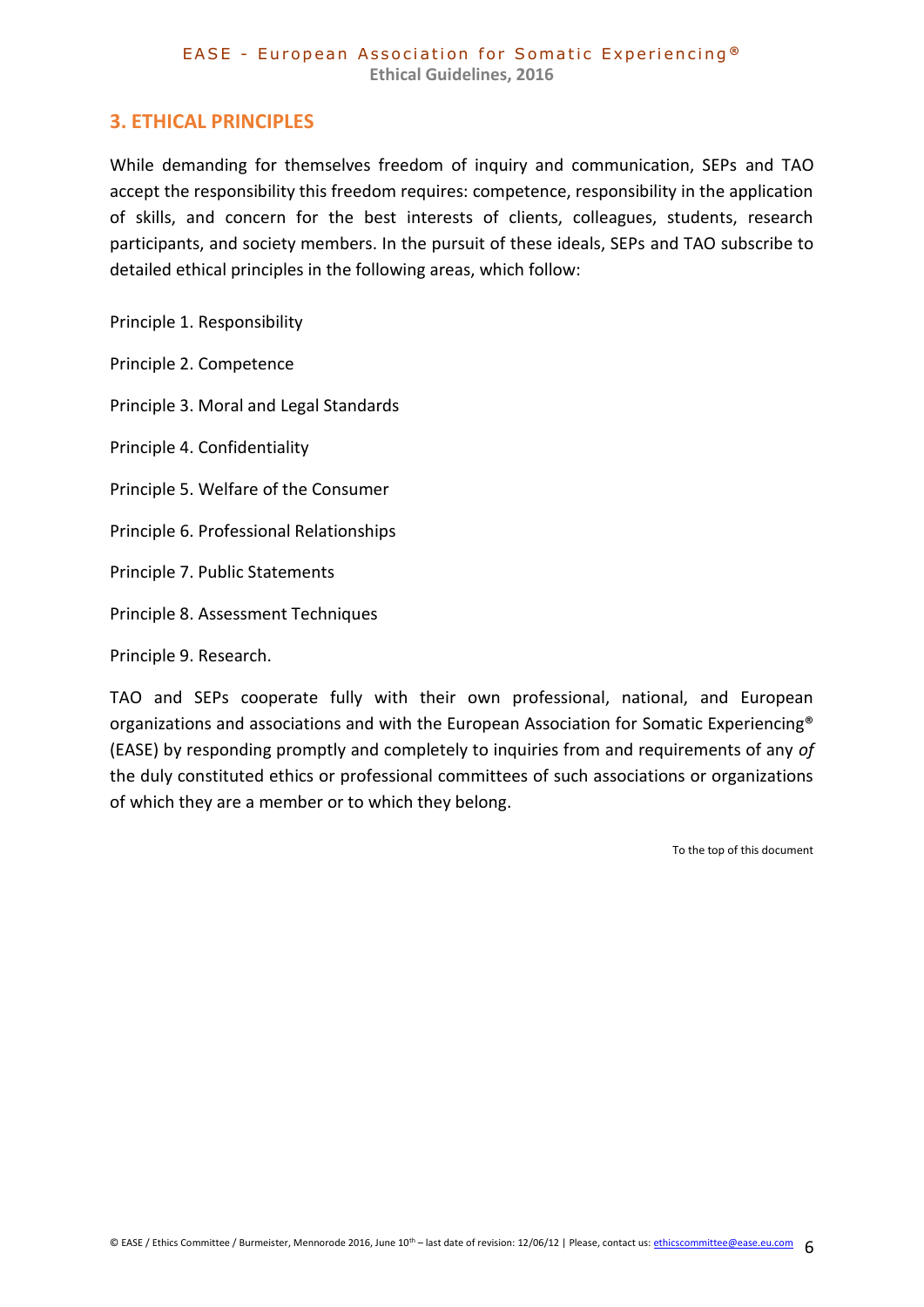# <span id="page-5-0"></span>**3. ETHICAL PRINCIPLES**

While demanding for themselves freedom of inquiry and communication, SEPs and TAO accept the responsibility this freedom requires: competence, responsibility in the application of skills, and concern for the best interests of clients, colleagues, students, research participants, and society members. In the pursuit of these ideals, SEPs and TAO subscribe to detailed ethical principles in the following areas, which follow:

Principle 1. Responsibility

Principle 2. Competence

Principle 3. Moral and Legal Standards

Principle 4. Confidentiality

Principle 5. Welfare of the Consumer

Principle 6. Professional Relationships

Principle 7. Public Statements

Principle 8. Assessment Techniques

Principle 9. Research.

TAO and SEPs cooperate fully with their own professional, national, and European organizations and associations and with the European Association for Somatic Experiencing® (EASE) by responding promptly and completely to inquiries from and requirements of any *of*  the duly constituted ethics or professional committees of such associations or organizations of which they are a member or to which they belong.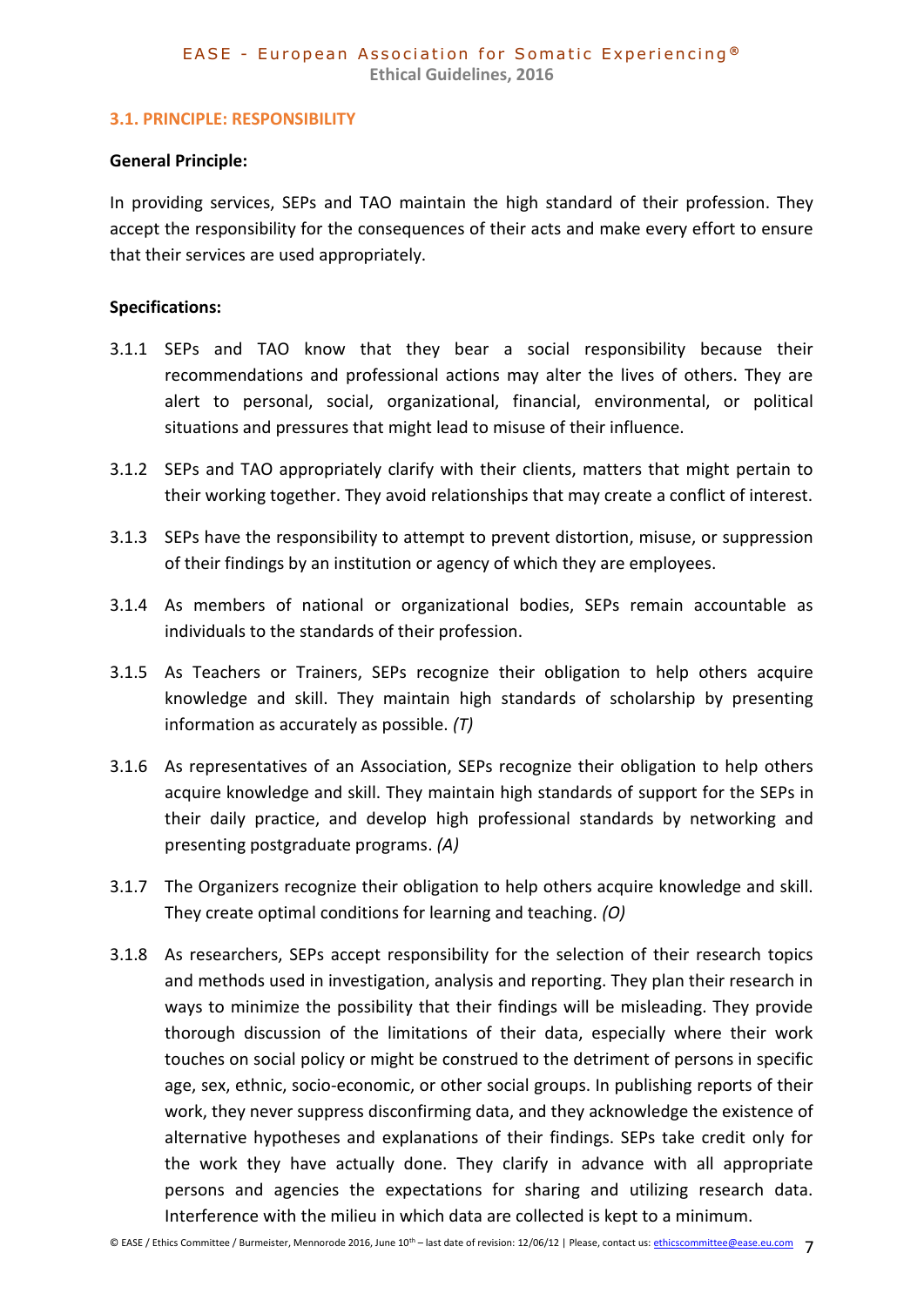#### <span id="page-6-0"></span>**3.1. PRINCIPLE: RESPONSIBILITY**

#### **General Principle:**

In providing services, SEPs and TAO maintain the high standard of their profession. They accept the responsibility for the consequences of their acts and make every effort to ensure that their services are used appropriately.

#### **Specifications:**

- 3.1.1 SEPs and TAO know that they bear a social responsibility because their recommendations and professional actions may alter the lives of others. They are alert to personal, social, organizational, financial, environmental, or political situations and pressures that might lead to misuse of their influence.
- 3.1.2 SEPs and TAO appropriately clarify with their clients, matters that might pertain to their working together. They avoid relationships that may create a conflict of interest.
- 3.1.3 SEPs have the responsibility to attempt to prevent distortion, misuse, or suppression of their findings by an institution or agency of which they are employees.
- 3.1.4 As members of national or organizational bodies, SEPs remain accountable as individuals to the standards of their profession.
- 3.1.5 As Teachers or Trainers, SEPs recognize their obligation to help others acquire knowledge and skill. They maintain high standards of scholarship by presenting information as accurately as possible. *(T)*
- 3.1.6 As representatives of an Association, SEPs recognize their obligation to help others acquire knowledge and skill. They maintain high standards of support for the SEPs in their daily practice, and develop high professional standards by networking and presenting postgraduate programs. *(A)*
- 3.1.7 The Organizers recognize their obligation to help others acquire knowledge and skill. They create optimal conditions for learning and teaching. *(O)*
- 3.1.8 As researchers, SEPs accept responsibility for the selection of their research topics and methods used in investigation, analysis and reporting. They plan their research in ways to minimize the possibility that their findings will be misleading. They provide thorough discussion of the limitations of their data, especially where their work touches on social policy or might be construed to the detriment of persons in specific age, sex, ethnic, socio-economic, or other social groups. In publishing reports of their work, they never suppress disconfirming data, and they acknowledge the existence of alternative hypotheses and explanations of their findings. SEPs take credit only for the work they have actually done. They clarify in advance with all appropriate persons and agencies the expectations for sharing and utilizing research data. Interference with the milieu in which data are collected is kept to a minimum.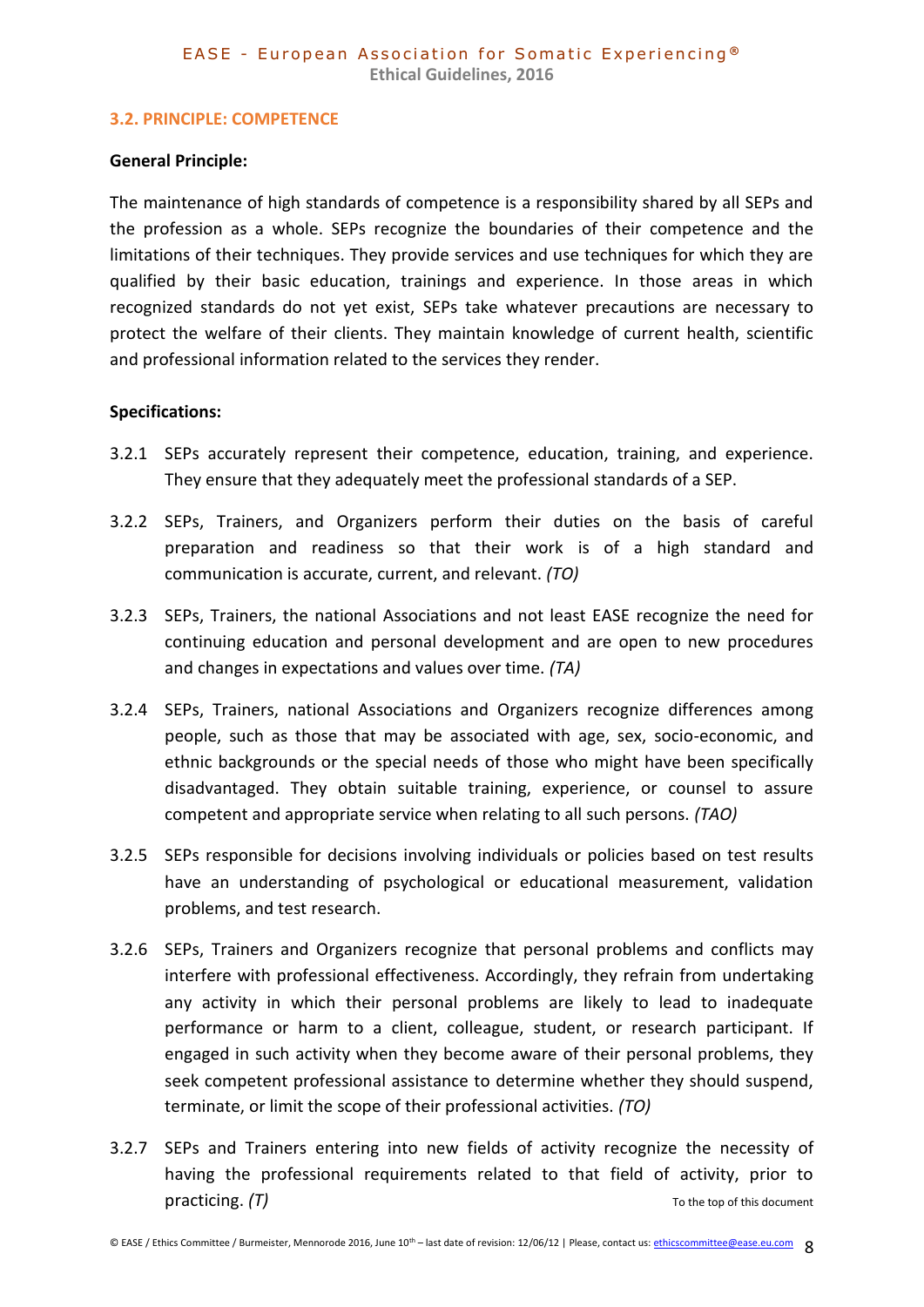#### <span id="page-7-0"></span>**3.2. PRINCIPLE: COMPETENCE**

#### **General Principle:**

The maintenance of high standards of competence is a responsibility shared by all SEPs and the profession as a whole. SEPs recognize the boundaries of their competence and the limitations of their techniques. They provide services and use techniques for which they are qualified by their basic education, trainings and experience. In those areas in which recognized standards do not yet exist, SEPs take whatever precautions are necessary to protect the welfare of their clients. They maintain knowledge of current health, scientific and professional information related to the services they render.

### **Specifications:**

- 3.2.1 SEPs accurately represent their competence, education, training, and experience. They ensure that they adequately meet the professional standards of a SEP.
- 3.2.2 SEPs, Trainers, and Organizers perform their duties on the basis of careful preparation and readiness so that their work is of a high standard and communication is accurate, current, and relevant. *(TO)*
- 3.2.3 SEPs, Trainers, the national Associations and not least EASE recognize the need for continuing education and personal development and are open to new procedures and changes in expectations and values over time. *(TA)*
- 3.2.4 SEPs, Trainers, national Associations and Organizers recognize differences among people, such as those that may be associated with age, sex, socio-economic, and ethnic backgrounds or the special needs of those who might have been specifically disadvantaged. They obtain suitable training, experience, or counsel to assure competent and appropriate service when relating to all such persons. *(TAO)*
- 3.2.5 SEPs responsible for decisions involving individuals or policies based on test results have an understanding of psychological or educational measurement, validation problems, and test research.
- 3.2.6 SEPs, Trainers and Organizers recognize that personal problems and conflicts may interfere with professional effectiveness. Accordingly, they refrain from undertaking any activity in which their personal problems are likely to lead to inadequate performance or harm to a client, colleague, student, or research participant. If engaged in such activity when they become aware of their personal problems, they seek competent professional assistance to determine whether they should suspend, terminate, or limit the scope of their professional activities. *(TO)*
- 3.2.7 SEPs and Trainers entering into new fields of activity recognize the necessity of having the professional requirements related to that field of activity, prior to practicing.  $(T)$  [To the top of this document](#page-0-0)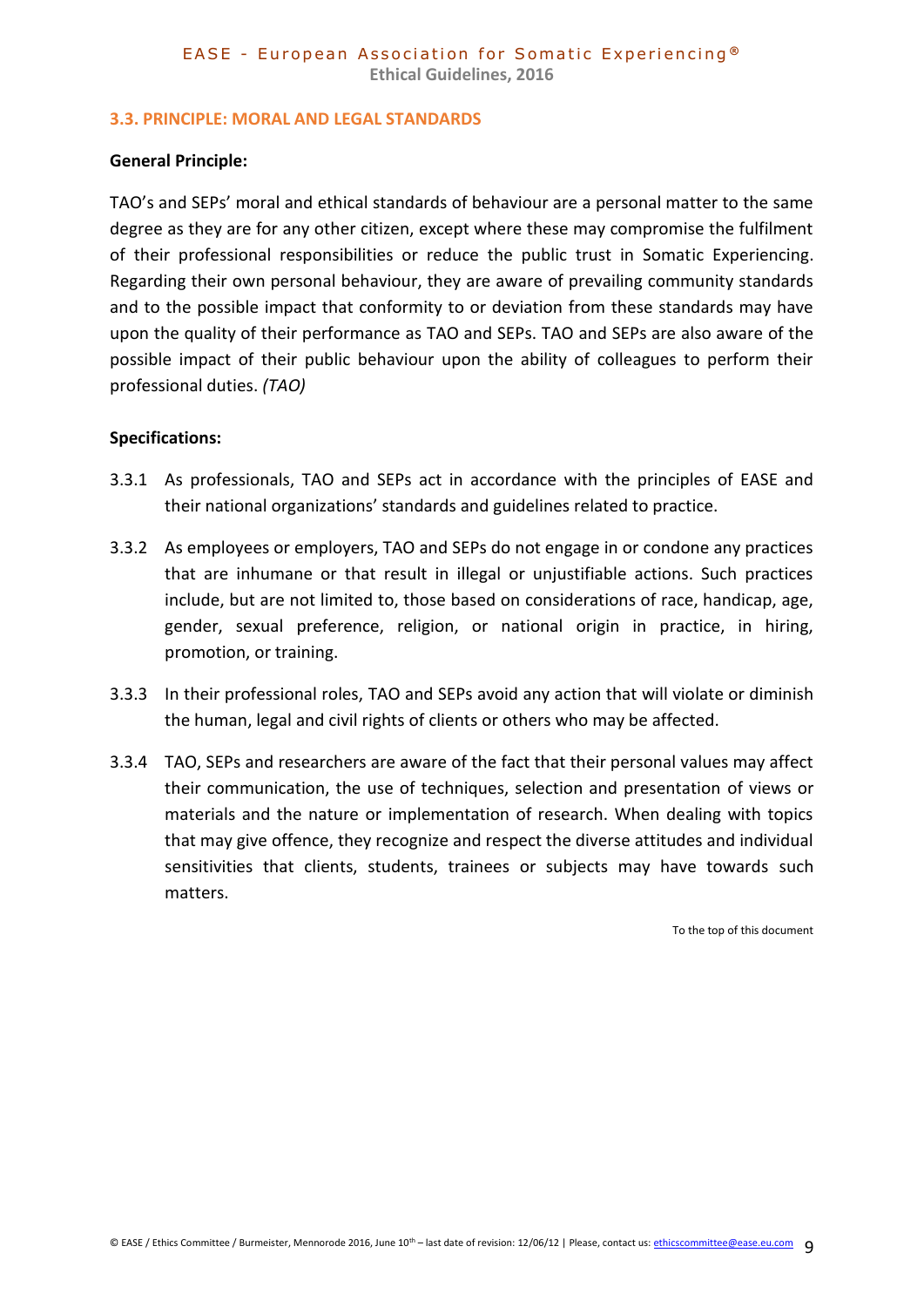#### <span id="page-8-0"></span>**3.3. PRINCIPLE: MORAL AND LEGAL STANDARDS**

#### **General Principle:**

TAO's and SEPs' moral and ethical standards of behaviour are a personal matter to the same degree as they are for any other citizen, except where these may compromise the fulfilment of their professional responsibilities or reduce the public trust in Somatic Experiencing. Regarding their own personal behaviour, they are aware of prevailing community standards and to the possible impact that conformity to or deviation from these standards may have upon the quality of their performance as TAO and SEPs. TAO and SEPs are also aware of the possible impact of their public behaviour upon the ability of colleagues to perform their professional duties. *(TAO)*

#### **Specifications:**

- 3.3.1 As professionals, TAO and SEPs act in accordance with the principles of EASE and their national organizations' standards and guidelines related to practice.
- 3.3.2 As employees or employers, TAO and SEPs do not engage in or condone any practices that are inhumane or that result in illegal or unjustifiable actions. Such practices include, but are not limited to, those based on considerations of race, handicap, age, gender, sexual preference, religion, or national origin in practice, in hiring, promotion, or training.
- 3.3.3 In their professional roles, TAO and SEPs avoid any action that will violate or diminish the human, legal and civil rights of clients or others who may be affected.
- 3.3.4 TAO, SEPs and researchers are aware of the fact that their personal values may affect their communication, the use of techniques, selection and presentation of views or materials and the nature or implementation of research. When dealing with topics that may give offence, they recognize and respect the diverse attitudes and individual sensitivities that clients, students, trainees or subjects may have towards such matters.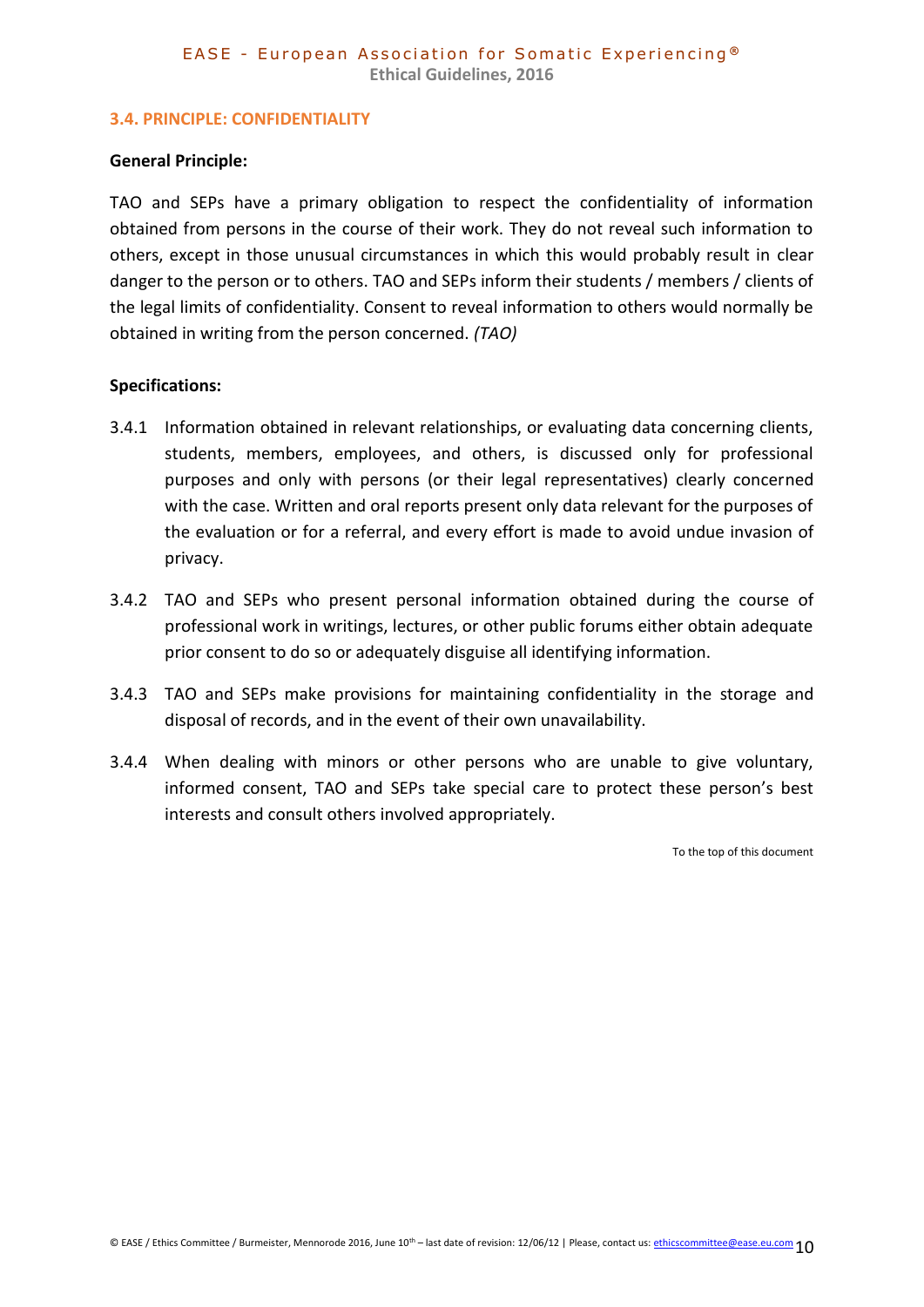#### <span id="page-9-0"></span>**3.4. PRINCIPLE: CONFIDENTIALITY**

#### **General Principle:**

TAO and SEPs have a primary obligation to respect the confidentiality of information obtained from persons in the course of their work. They do not reveal such information to others, except in those unusual circumstances in which this would probably result in clear danger to the person or to others. TAO and SEPs inform their students / members / clients of the legal limits of confidentiality. Consent to reveal information to others would normally be obtained in writing from the person concerned. *(TAO)*

#### **Specifications:**

- 3.4.1 Information obtained in relevant relationships, or evaluating data concerning clients, students, members, employees, and others, is discussed only for professional purposes and only with persons (or their legal representatives) clearly concerned with the case. Written and oral reports present only data relevant for the purposes of the evaluation or for a referral, and every effort is made to avoid undue invasion of privacy.
- 3.4.2 TAO and SEPs who present personal information obtained during the course of professional work in writings, lectures, or other public forums either obtain adequate prior consent to do so or adequately disguise all identifying information.
- 3.4.3 TAO and SEPs make provisions for maintaining confidentiality in the storage and disposal of records, and in the event of their own unavailability.
- 3.4.4 When dealing with minors or other persons who are unable to give voluntary, informed consent, TAO and SEPs take special care to protect these person's best interests and consult others involved appropriately.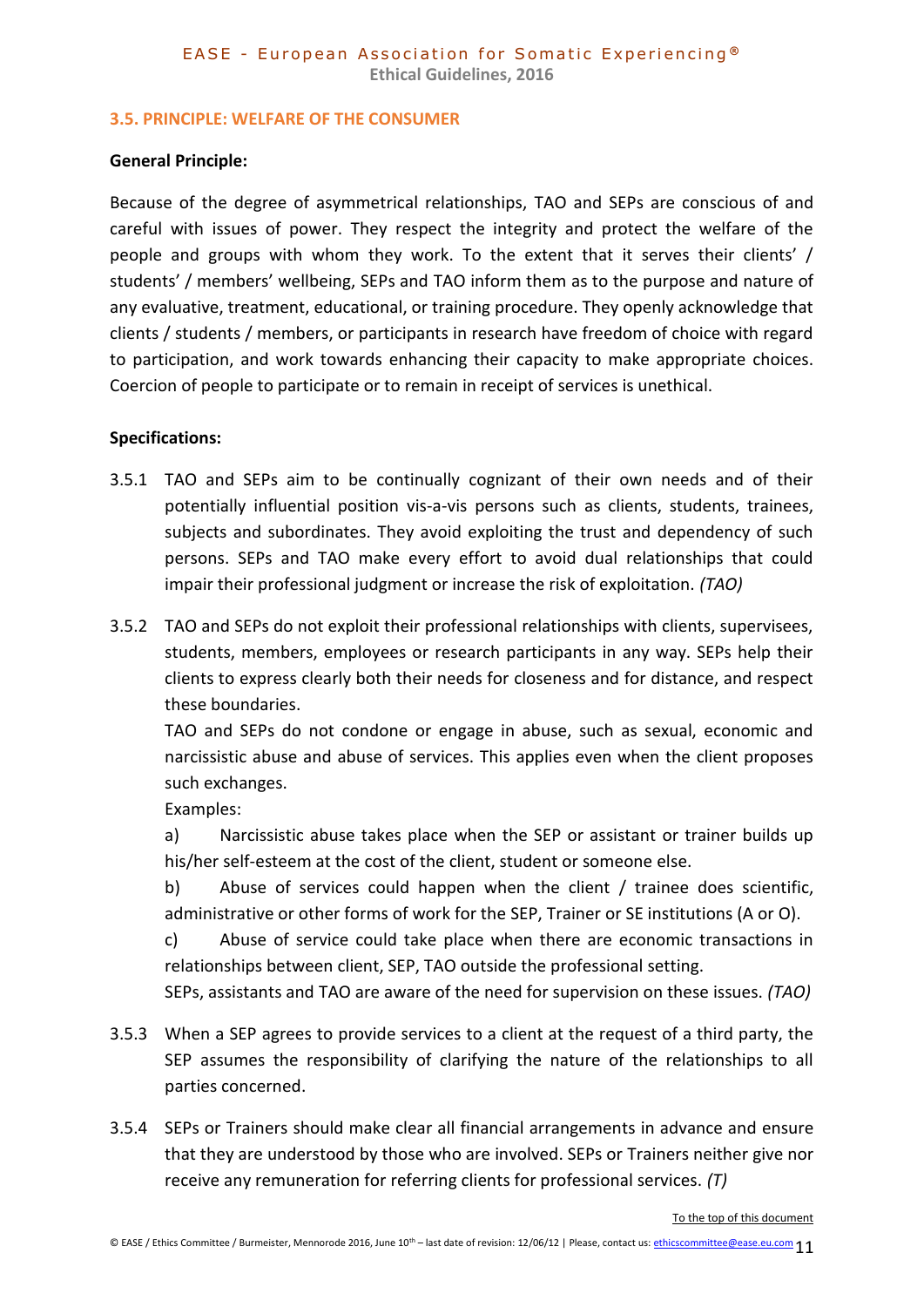#### <span id="page-10-0"></span>**3.5. PRINCIPLE: WELFARE OF THE CONSUMER**

#### **General Principle:**

Because of the degree of asymmetrical relationships, TAO and SEPs are conscious of and careful with issues of power. They respect the integrity and protect the welfare of the people and groups with whom they work. To the extent that it serves their clients' / students' / members' wellbeing, SEPs and TAO inform them as to the purpose and nature of any evaluative, treatment, educational, or training procedure. They openly acknowledge that clients / students / members, or participants in research have freedom of choice with regard to participation, and work towards enhancing their capacity to make appropriate choices. Coercion of people to participate or to remain in receipt of services is unethical.

#### **Specifications:**

- 3.5.1 TAO and SEPs aim to be continually cognizant of their own needs and of their potentially influential position vis-a-vis persons such as clients, students, trainees, subjects and subordinates. They avoid exploiting the trust and dependency of such persons. SEPs and TAO make every effort to avoid dual relationships that could impair their professional judgment or increase the risk of exploitation. *(TAO)*
- 3.5.2 TAO and SEPs do not exploit their professional relationships with clients, supervisees, students, members, employees or research participants in any way. SEPs help their clients to express clearly both their needs for closeness and for distance, and respect these boundaries.

TAO and SEPs do not condone or engage in abuse, such as sexual, economic and narcissistic abuse and abuse of services. This applies even when the client proposes such exchanges.

Examples:

a) Narcissistic abuse takes place when the SEP or assistant or trainer builds up his/her self-esteem at the cost of the client, student or someone else.

b) Abuse of services could happen when the client / trainee does scientific, administrative or other forms of work for the SEP, Trainer or SE institutions (A or O).

c) Abuse of service could take place when there are economic transactions in relationships between client, SEP, TAO outside the professional setting.

SEPs, assistants and TAO are aware of the need for supervision on these issues. *(TAO)*

- 3.5.3 When a SEP agrees to provide services to a client at the request of a third party, the SEP assumes the responsibility of clarifying the nature of the relationships to all parties concerned.
- 3.5.4 SEPs or Trainers should make clear all financial arrangements in advance and ensure that they are understood by those who are involved. SEPs or Trainers neither give nor receive any remuneration for referring clients for professional services. *(T)*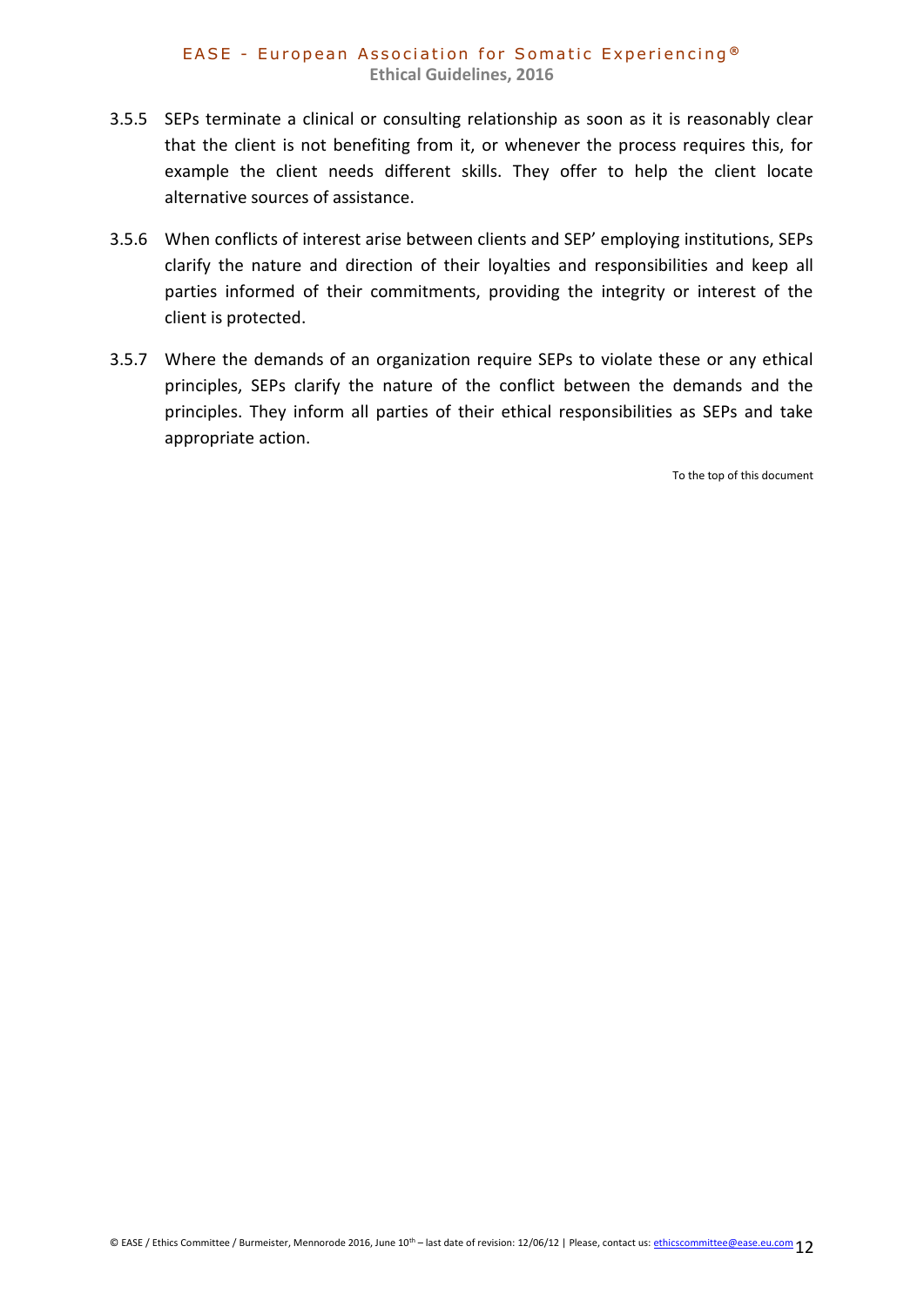- 3.5.5 SEPs terminate a clinical or consulting relationship as soon as it is reasonably clear that the client is not benefiting from it, or whenever the process requires this, for example the client needs different skills. They offer to help the client locate alternative sources of assistance.
- 3.5.6 When conflicts of interest arise between clients and SEP' employing institutions, SEPs clarify the nature and direction of their loyalties and responsibilities and keep all parties informed of their commitments, providing the integrity or interest of the client is protected.
- 3.5.7 Where the demands of an organization require SEPs to violate these or any ethical principles, SEPs clarify the nature of the conflict between the demands and the principles. They inform all parties of their ethical responsibilities as SEPs and take appropriate action.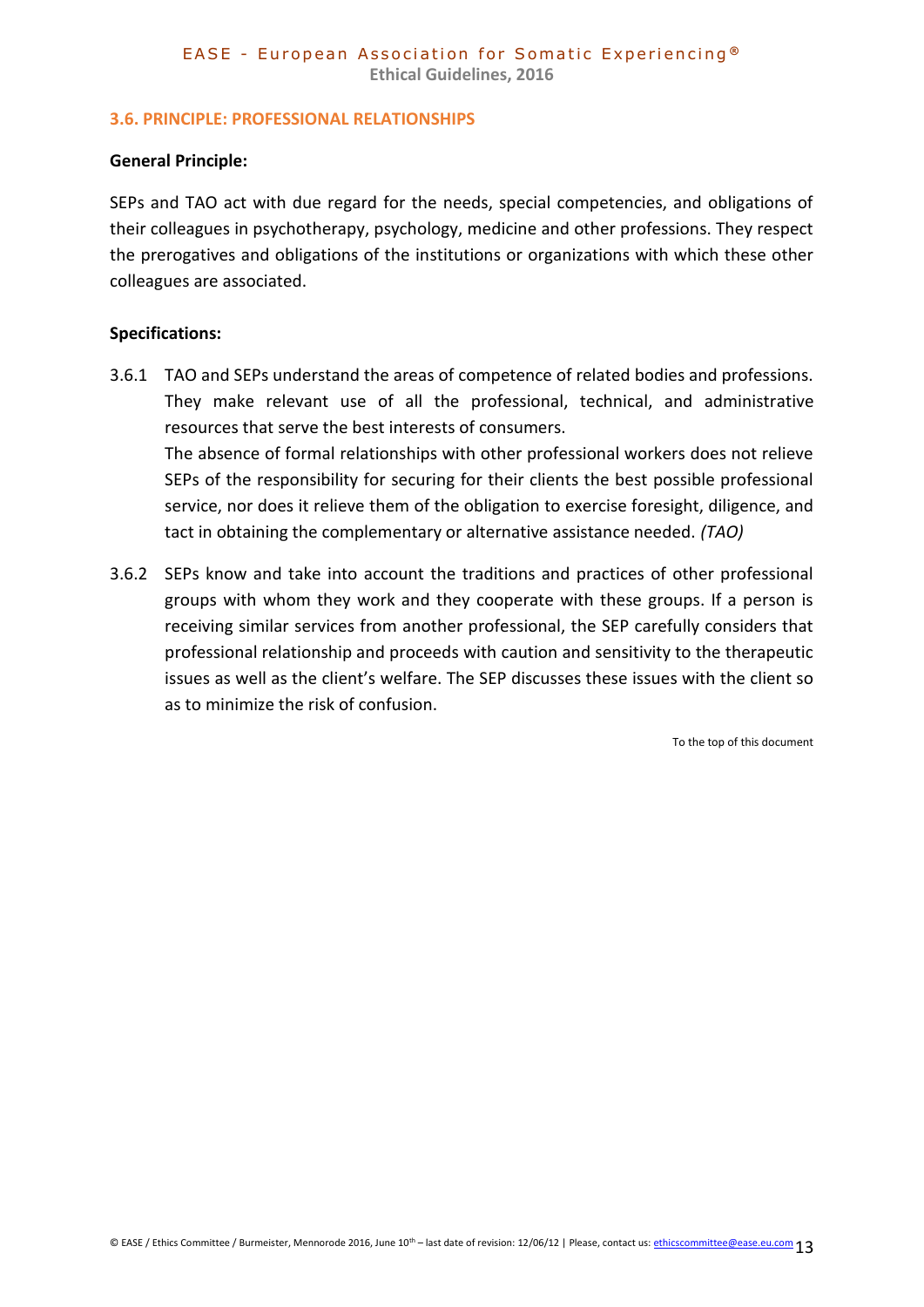#### <span id="page-12-0"></span>**3.6. PRINCIPLE: PROFESSIONAL RELATIONSHIPS**

#### **General Principle:**

SEPs and TAO act with due regard for the needs, special competencies, and obligations of their colleagues in psychotherapy, psychology, medicine and other professions. They respect the prerogatives and obligations of the institutions or organizations with which these other colleagues are associated.

#### **Specifications:**

- 3.6.1 TAO and SEPs understand the areas of competence of related bodies and professions. They make relevant use of all the professional, technical, and administrative resources that serve the best interests of consumers. The absence of formal relationships with other professional workers does not relieve SEPs of the responsibility for securing for their clients the best possible professional service, nor does it relieve them of the obligation to exercise foresight, diligence, and tact in obtaining the complementary or alternative assistance needed. *(TAO)*
- 3.6.2 SEPs know and take into account the traditions and practices of other professional groups with whom they work and they cooperate with these groups. If a person is receiving similar services from another professional, the SEP carefully considers that professional relationship and proceeds with caution and sensitivity to the therapeutic issues as well as the client's welfare. The SEP discusses these issues with the client so as to minimize the risk of confusion.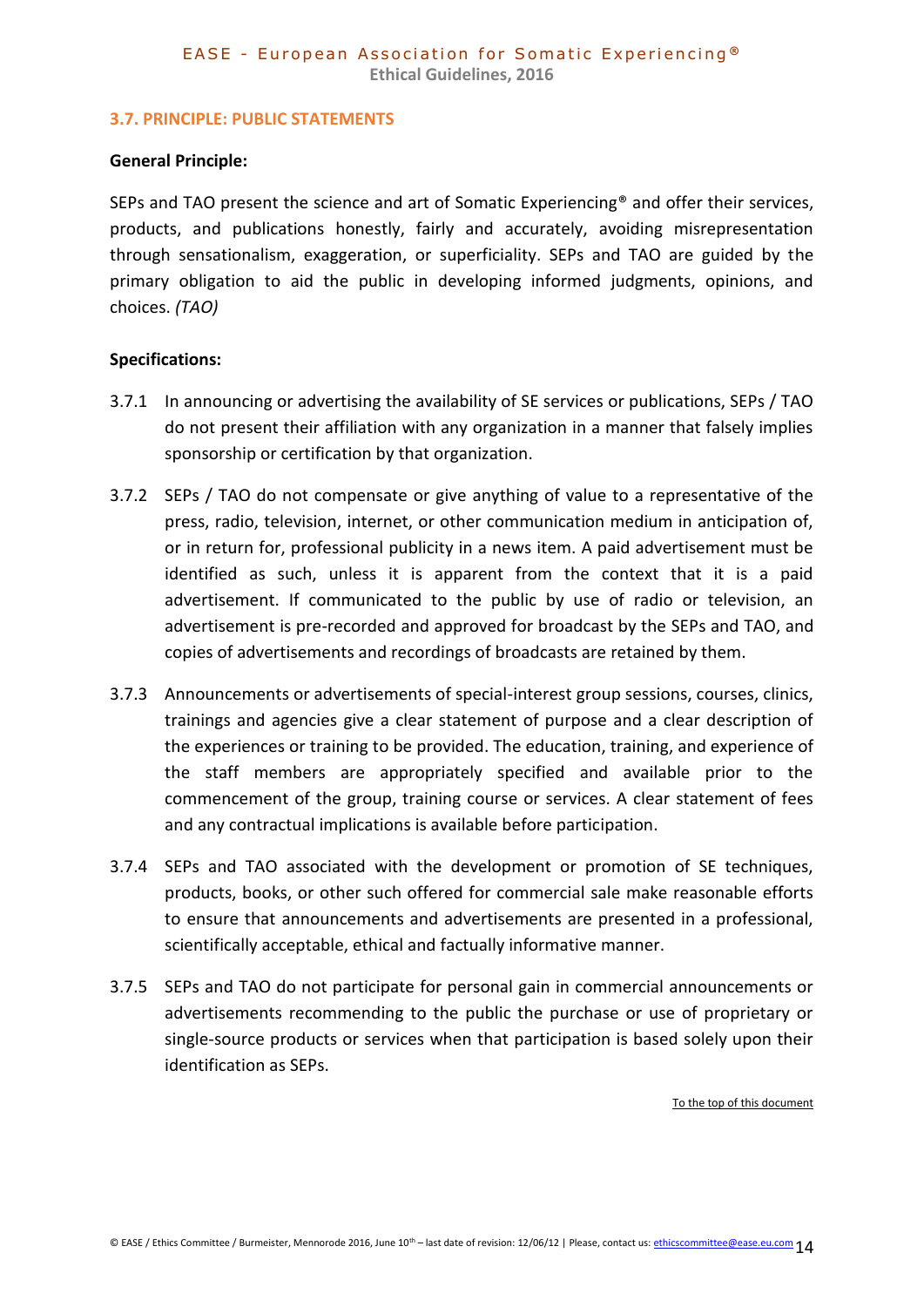#### <span id="page-13-0"></span>**3.7. PRINCIPLE: PUBLIC STATEMENTS**

#### **General Principle:**

SEPs and TAO present the science and art of Somatic Experiencing® and offer their services, products, and publications honestly, fairly and accurately, avoiding misrepresentation through sensationalism, exaggeration, or superficiality. SEPs and TAO are guided by the primary obligation to aid the public in developing informed judgments, opinions, and choices. *(TAO)*

### **Specifications:**

- 3.7.1 In announcing or advertising the availability of SE services or publications, SEPs / TAO do not present their affiliation with any organization in a manner that falsely implies sponsorship or certification by that organization.
- 3.7.2 SEPs / TAO do not compensate or give anything of value to a representative of the press, radio, television, internet, or other communication medium in anticipation of, or in return for, professional publicity in a news item. A paid advertisement must be identified as such, unless it is apparent from the context that it is a paid advertisement. If communicated to the public by use of radio or television, an advertisement is pre-recorded and approved for broadcast by the SEPs and TAO, and copies of advertisements and recordings of broadcasts are retained by them.
- 3.7.3 Announcements or advertisements of special-interest group sessions, courses, clinics, trainings and agencies give a clear statement of purpose and a clear description of the experiences or training to be provided. The education, training, and experience of the staff members are appropriately specified and available prior to the commencement of the group, training course or services. A clear statement of fees and any contractual implications is available before participation.
- 3.7.4 SEPs and TAO associated with the development or promotion of SE techniques, products, books, or other such offered for commercial sale make reasonable efforts to ensure that announcements and advertisements are presented in a professional, scientifically acceptable, ethical and factually informative manner.
- 3.7.5 SEPs and TAO do not participate for personal gain in commercial announcements or advertisements recommending to the public the purchase or use of proprietary or single-source products or services when that participation is based solely upon their identification as SEPs.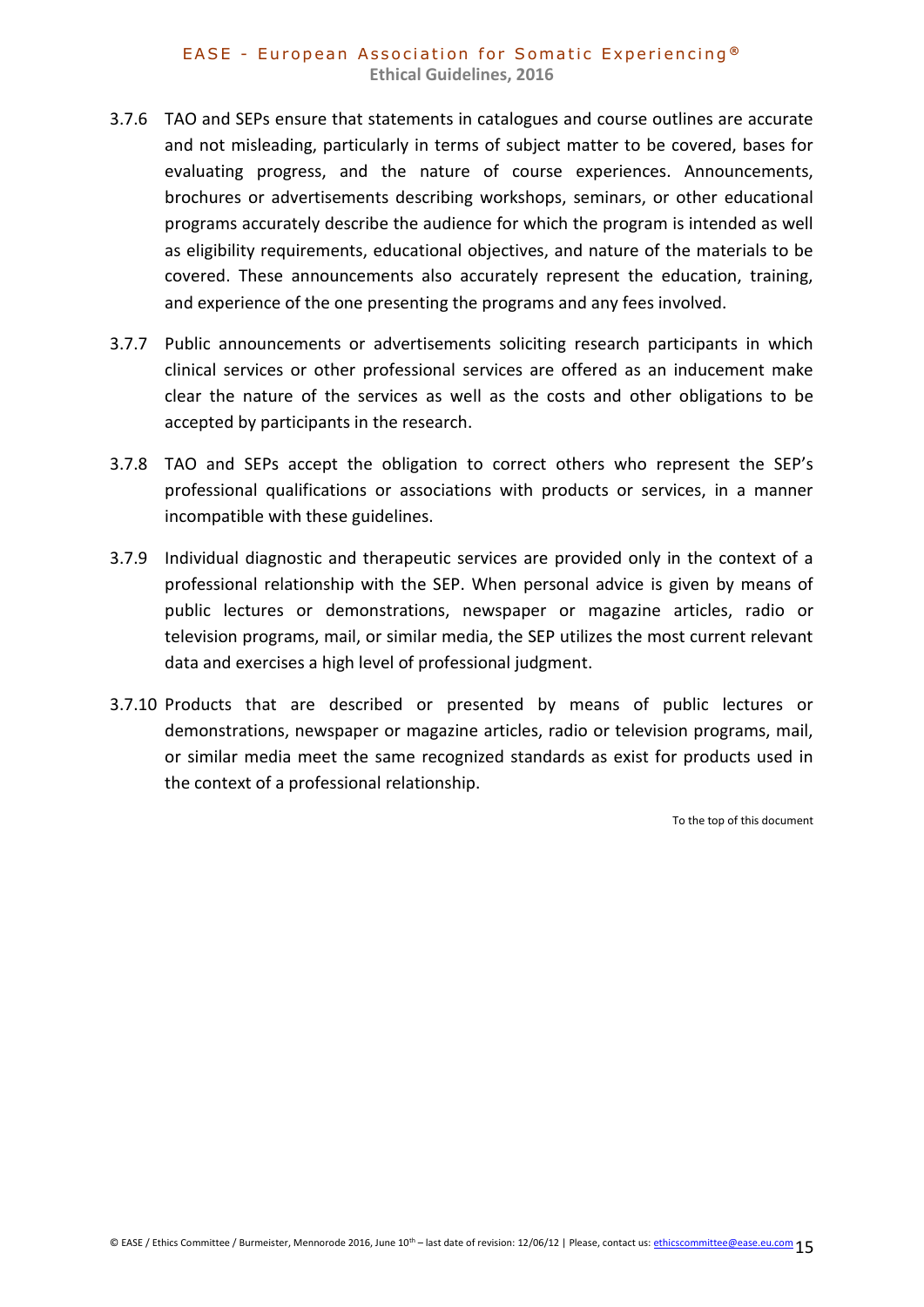- 3.7.6 TAO and SEPs ensure that statements in catalogues and course outlines are accurate and not misleading, particularly in terms of subject matter to be covered, bases for evaluating progress, and the nature of course experiences. Announcements, brochures or advertisements describing workshops, seminars, or other educational programs accurately describe the audience for which the program is intended as well as eligibility requirements, educational objectives, and nature of the materials to be covered. These announcements also accurately represent the education, training, and experience of the one presenting the programs and any fees involved.
- 3.7.7 Public announcements or advertisements soliciting research participants in which clinical services or other professional services are offered as an inducement make clear the nature of the services as well as the costs and other obligations to be accepted by participants in the research.
- 3.7.8 TAO and SEPs accept the obligation to correct others who represent the SEP's professional qualifications or associations with products or services, in a manner incompatible with these guidelines.
- 3.7.9 Individual diagnostic and therapeutic services are provided only in the context of a professional relationship with the SEP. When personal advice is given by means of public lectures or demonstrations, newspaper or magazine articles, radio or television programs, mail, or similar media, the SEP utilizes the most current relevant data and exercises a high level of professional judgment.
- 3.7.10 Products that are described or presented by means of public lectures or demonstrations, newspaper or magazine articles, radio or television programs, mail, or similar media meet the same recognized standards as exist for products used in the context of a professional relationship.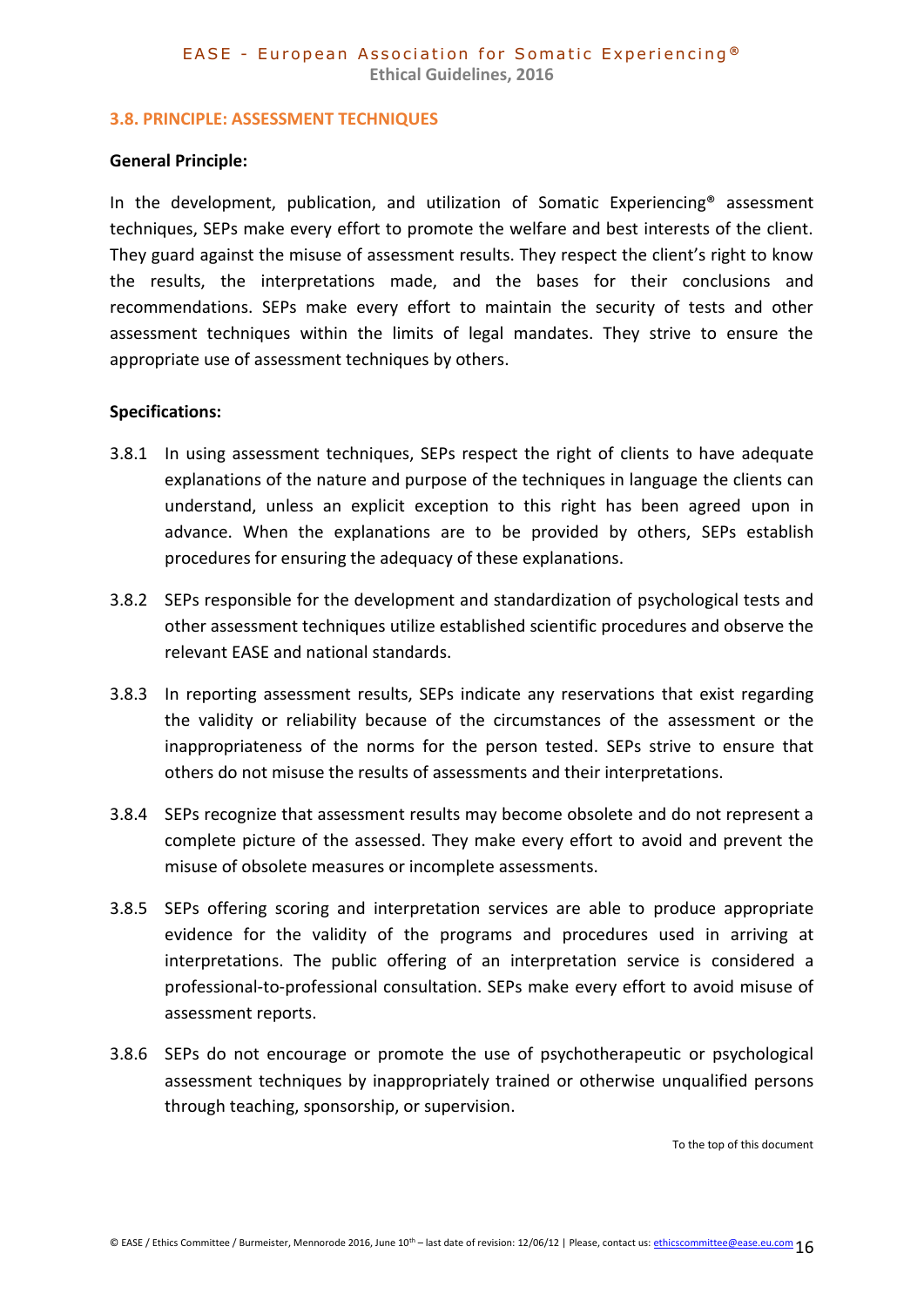#### <span id="page-15-0"></span>**3.8. PRINCIPLE: ASSESSMENT TECHNIQUES**

#### **General Principle:**

In the development, publication, and utilization of Somatic Experiencing® assessment techniques, SEPs make every effort to promote the welfare and best interests of the client. They guard against the misuse of assessment results. They respect the client's right to know the results, the interpretations made, and the bases for their conclusions and recommendations. SEPs make every effort to maintain the security of tests and other assessment techniques within the limits of legal mandates. They strive to ensure the appropriate use of assessment techniques by others.

#### **Specifications:**

- 3.8.1 In using assessment techniques, SEPs respect the right of clients to have adequate explanations of the nature and purpose of the techniques in language the clients can understand, unless an explicit exception to this right has been agreed upon in advance. When the explanations are to be provided by others, SEPs establish procedures for ensuring the adequacy of these explanations.
- 3.8.2 SEPs responsible for the development and standardization of psychological tests and other assessment techniques utilize established scientific procedures and observe the relevant EASE and national standards.
- 3.8.3 In reporting assessment results, SEPs indicate any reservations that exist regarding the validity or reliability because of the circumstances of the assessment or the inappropriateness of the norms for the person tested. SEPs strive to ensure that others do not misuse the results of assessments and their interpretations.
- 3.8.4 SEPs recognize that assessment results may become obsolete and do not represent a complete picture of the assessed. They make every effort to avoid and prevent the misuse of obsolete measures or incomplete assessments.
- 3.8.5 SEPs offering scoring and interpretation services are able to produce appropriate evidence for the validity of the programs and procedures used in arriving at interpretations. The public offering of an interpretation service is considered a professional-to-professional consultation. SEPs make every effort to avoid misuse of assessment reports.
- 3.8.6 SEPs do not encourage or promote the use of psychotherapeutic or psychological assessment techniques by inappropriately trained or otherwise unqualified persons through teaching, sponsorship, or supervision.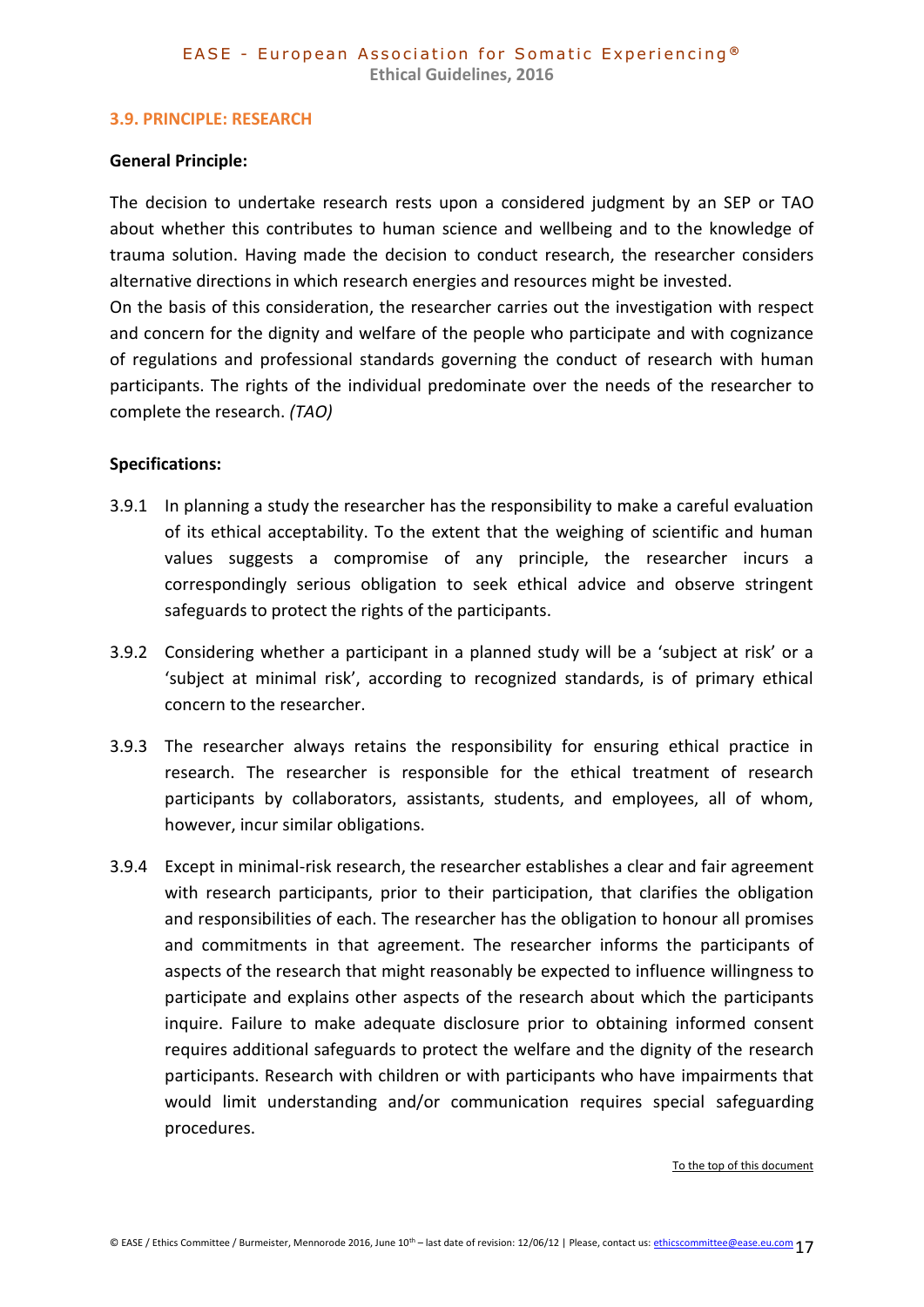#### <span id="page-16-0"></span>**3.9. PRINCIPLE: RESEARCH**

#### **General Principle:**

The decision to undertake research rests upon a considered judgment by an SEP or TAO about whether this contributes to human science and wellbeing and to the knowledge of trauma solution. Having made the decision to conduct research, the researcher considers alternative directions in which research energies and resources might be invested.

On the basis of this consideration, the researcher carries out the investigation with respect and concern for the dignity and welfare of the people who participate and with cognizance of regulations and professional standards governing the conduct of research with human participants. The rights of the individual predominate over the needs of the researcher to complete the research. *(TAO)*

#### **Specifications:**

- 3.9.1 In planning a study the researcher has the responsibility to make a careful evaluation of its ethical acceptability. To the extent that the weighing of scientific and human values suggests a compromise of any principle, the researcher incurs a correspondingly serious obligation to seek ethical advice and observe stringent safeguards to protect the rights of the participants.
- 3.9.2 Considering whether a participant in a planned study will be a 'subject at risk' or a 'subject at minimal risk', according to recognized standards, is of primary ethical concern to the researcher.
- 3.9.3 The researcher always retains the responsibility for ensuring ethical practice in research. The researcher is responsible for the ethical treatment of research participants by collaborators, assistants, students, and employees, all of whom, however, incur similar obligations.
- 3.9.4 Except in minimal-risk research, the researcher establishes a clear and fair agreement with research participants, prior to their participation, that clarifies the obligation and responsibilities of each. The researcher has the obligation to honour all promises and commitments in that agreement. The researcher informs the participants of aspects of the research that might reasonably be expected to influence willingness to participate and explains other aspects of the research about which the participants inquire. Failure to make adequate disclosure prior to obtaining informed consent requires additional safeguards to protect the welfare and the dignity of the research participants. Research with children or with participants who have impairments that would limit understanding and/or communication requires special safeguarding procedures.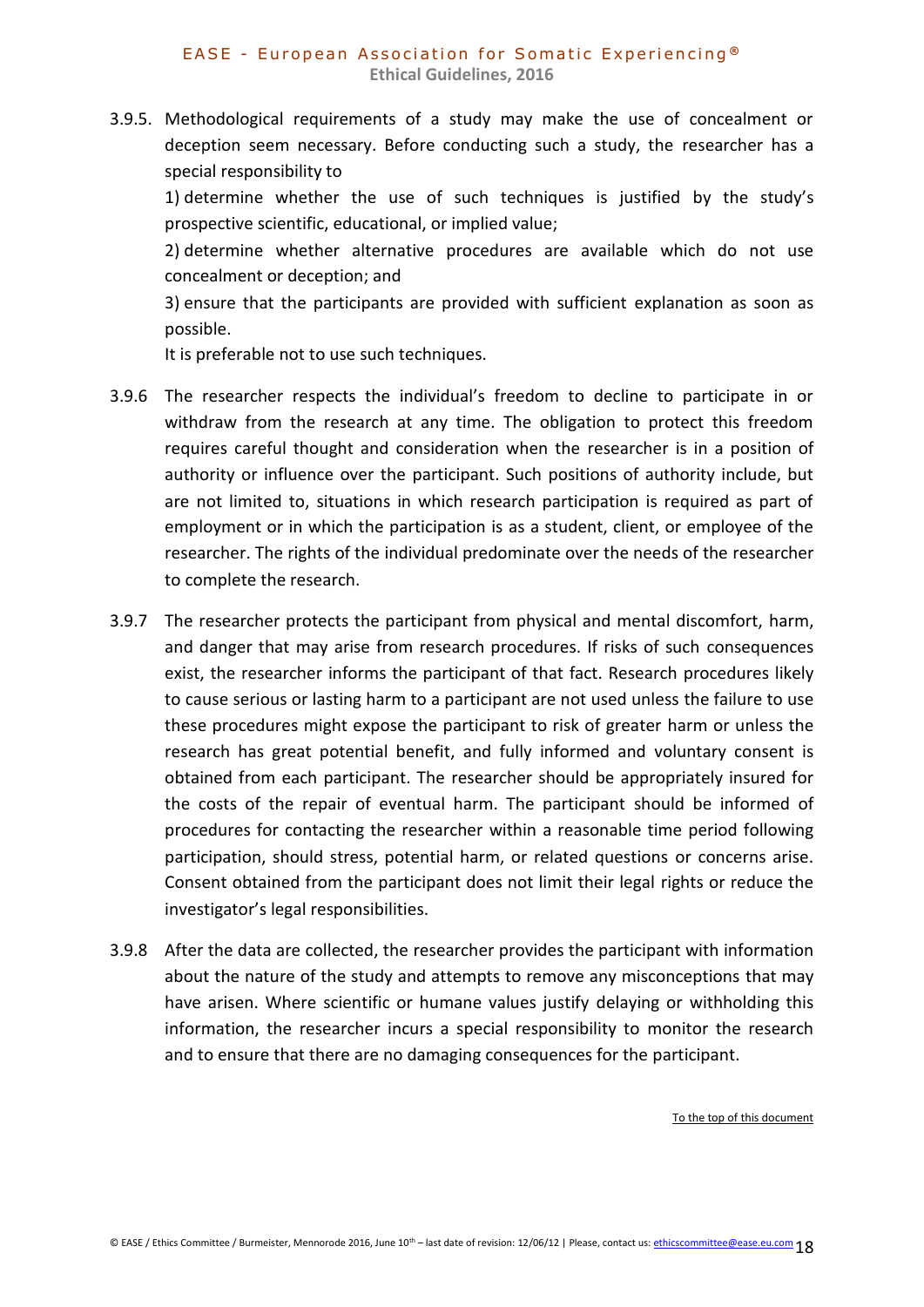3.9.5. Methodological requirements of a study may make the use of concealment or deception seem necessary. Before conducting such a study, the researcher has a special responsibility to

1) determine whether the use of such techniques is justified by the study's prospective scientific, educational, or implied value;

2) determine whether alternative procedures are available which do not use concealment or deception; and

3) ensure that the participants are provided with sufficient explanation as soon as possible.

It is preferable not to use such techniques.

- 3.9.6 The researcher respects the individual's freedom to decline to participate in or withdraw from the research at any time. The obligation to protect this freedom requires careful thought and consideration when the researcher is in a position of authority or influence over the participant. Such positions of authority include, but are not limited to, situations in which research participation is required as part of employment or in which the participation is as a student, client, or employee of the researcher. The rights of the individual predominate over the needs of the researcher to complete the research.
- 3.9.7 The researcher protects the participant from physical and mental discomfort, harm, and danger that may arise from research procedures. If risks of such consequences exist, the researcher informs the participant of that fact. Research procedures likely to cause serious or lasting harm to a participant are not used unless the failure to use these procedures might expose the participant to risk of greater harm or unless the research has great potential benefit, and fully informed and voluntary consent is obtained from each participant. The researcher should be appropriately insured for the costs of the repair of eventual harm. The participant should be informed of procedures for contacting the researcher within a reasonable time period following participation, should stress, potential harm, or related questions or concerns arise. Consent obtained from the participant does not limit their legal rights or reduce the investigator's legal responsibilities.
- 3.9.8 After the data are collected, the researcher provides the participant with information about the nature of the study and attempts to remove any misconceptions that may have arisen. Where scientific or humane values justify delaying or withholding this information, the researcher incurs a special responsibility to monitor the research and to ensure that there are no damaging consequences for the participant.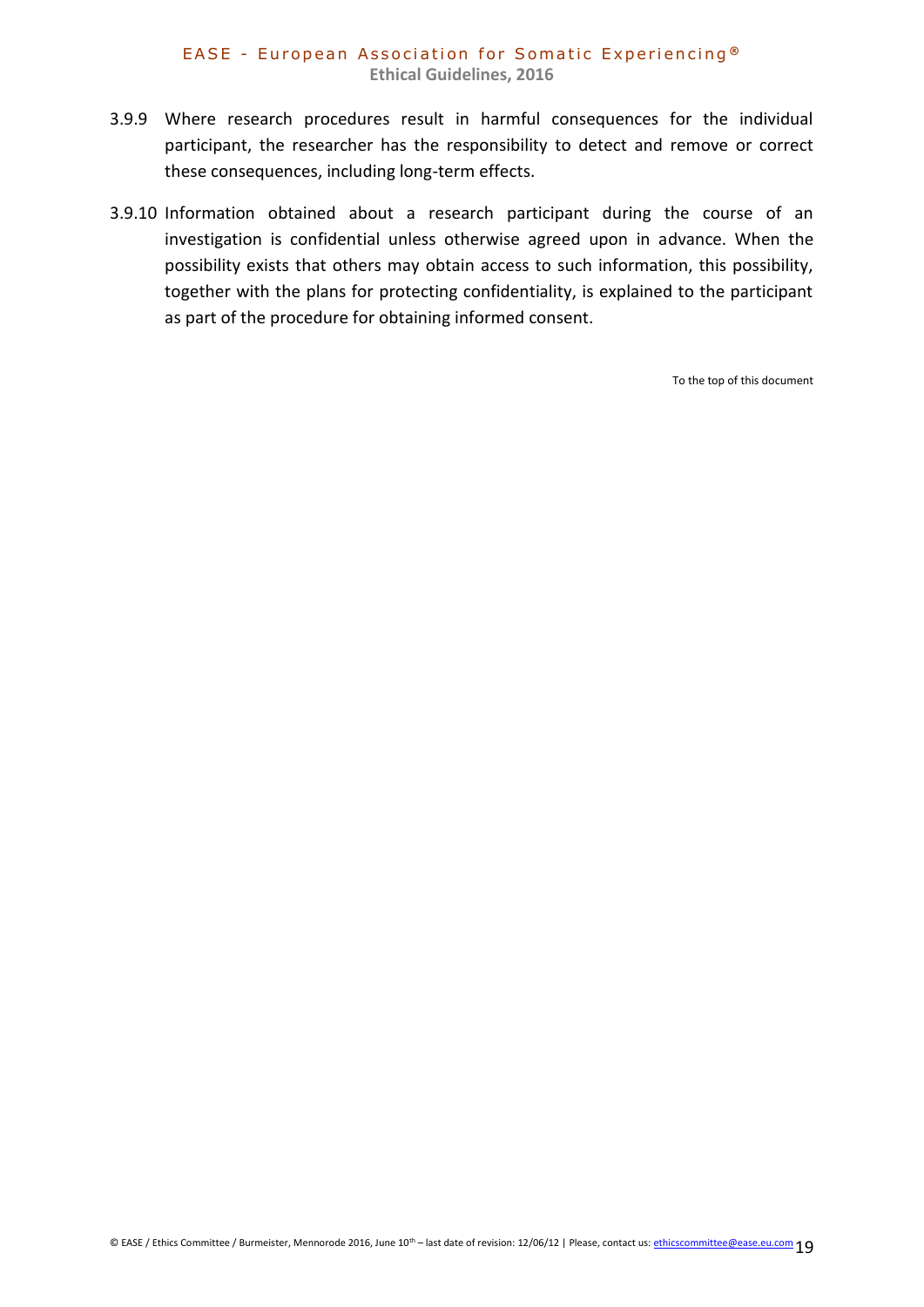#### EASE - European Association for Somatic Experiencing<sup>®</sup> **Ethical Guidelines, 2016**

- 3.9.9 Where research procedures result in harmful consequences for the individual participant, the researcher has the responsibility to detect and remove or correct these consequences, including long-term effects.
- 3.9.10 Information obtained about a research participant during the course of an investigation is confidential unless otherwise agreed upon in advance. When the possibility exists that others may obtain access to such information, this possibility, together with the plans for protecting confidentiality, is explained to the participant as part of the procedure for obtaining informed consent.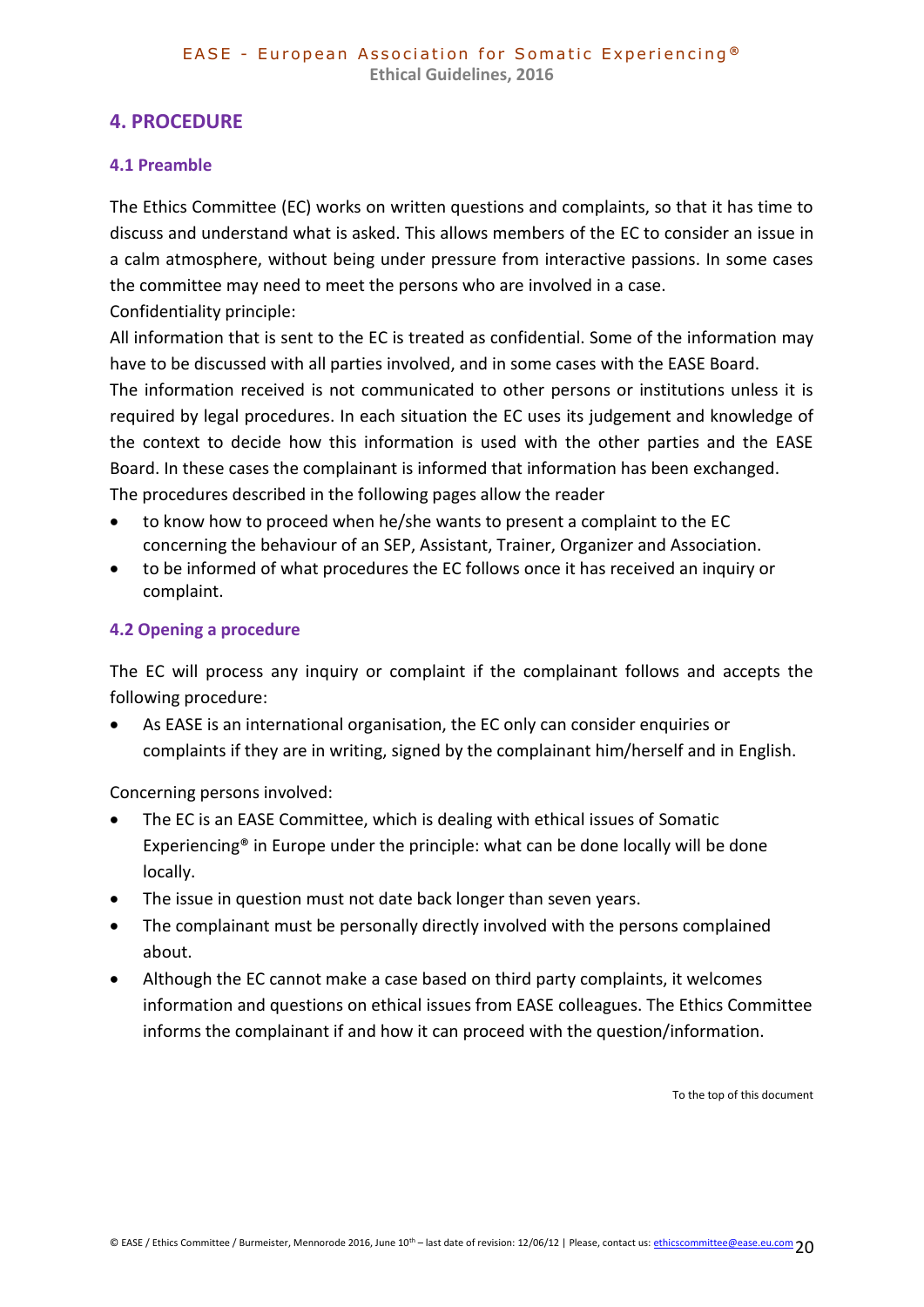# <span id="page-19-0"></span>**4. PROCEDURE**

## <span id="page-19-1"></span>**4.1 Preamble**

The Ethics Committee (EC) works on written questions and complaints, so that it has time to discuss and understand what is asked. This allows members of the EC to consider an issue in a calm atmosphere, without being under pressure from interactive passions. In some cases the committee may need to meet the persons who are involved in a case. Confidentiality principle:

All information that is sent to the EC is treated as confidential. Some of the information may have to be discussed with all parties involved, and in some cases with the EASE Board. The information received is not communicated to other persons or institutions unless it is required by legal procedures. In each situation the EC uses its judgement and knowledge of the context to decide how this information is used with the other parties and the EASE Board. In these cases the complainant is informed that information has been exchanged. The procedures described in the following pages allow the reader

- to know how to proceed when he/she wants to present a complaint to the EC concerning the behaviour of an SEP, Assistant, Trainer, Organizer and Association.
- to be informed of what procedures the EC follows once it has received an inquiry or complaint.

# <span id="page-19-2"></span>**4.2 Opening a procedure**

The EC will process any inquiry or complaint if the complainant follows and accepts the following procedure:

 As EASE is an international organisation, the EC only can consider enquiries or complaints if they are in writing, signed by the complainant him/herself and in English.

Concerning persons involved:

- The EC is an EASE Committee, which is dealing with ethical issues of Somatic Experiencing® in Europe under the principle: what can be done locally will be done locally.
- The issue in question must not date back longer than seven years.
- The complainant must be personally directly involved with the persons complained about.
- Although the EC cannot make a case based on third party complaints, it welcomes information and questions on ethical issues from EASE colleagues. The Ethics Committee informs the complainant if and how it can proceed with the question/information.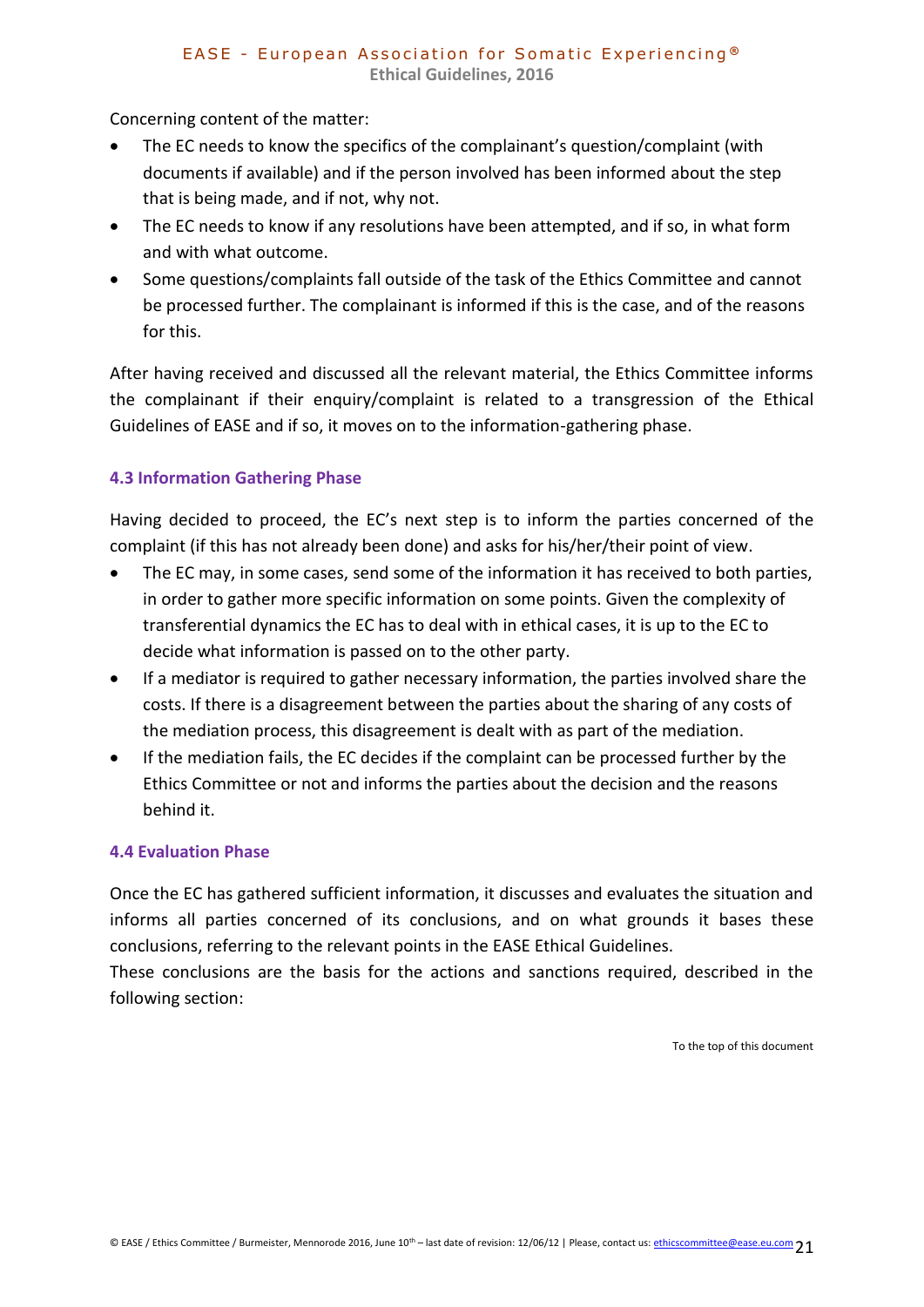Concerning content of the matter:

- The EC needs to know the specifics of the complainant's question/complaint (with documents if available) and if the person involved has been informed about the step that is being made, and if not, why not.
- The EC needs to know if any resolutions have been attempted, and if so, in what form and with what outcome.
- Some questions/complaints fall outside of the task of the Ethics Committee and cannot be processed further. The complainant is informed if this is the case, and of the reasons for this.

After having received and discussed all the relevant material, the Ethics Committee informs the complainant if their enquiry/complaint is related to a transgression of the Ethical Guidelines of EASE and if so, it moves on to the information-gathering phase.

# **4.3 Information Gathering Phase**

Having decided to proceed, the EC's next step is to inform the parties concerned of the complaint (if this has not already been done) and asks for his/her/their point of view.

- <span id="page-20-0"></span> The EC may, in some cases, send some of the information it has received to both parties, in order to gather more specific information on some points. Given the complexity of transferential dynamics the EC has to deal with in ethical cases, it is up to the EC to decide what information is passed on to the other party.
- If a mediator is required to gather necessary information, the parties involved share the costs. If there is a disagreement between the parties about the sharing of any costs of the mediation process, this disagreement is dealt with as part of the mediation.
- If the mediation fails, the EC decides if the complaint can be processed further by the Ethics Committee or not and informs the parties about the decision and the reasons behind it.

# <span id="page-20-1"></span>**4.4 Evaluation Phase**

Once the EC has gathered sufficient information, it discusses and evaluates the situation and informs all parties concerned of its conclusions, and on what grounds it bases these conclusions, referring to the relevant points in the EASE Ethical Guidelines.

These conclusions are the basis for the actions and sanctions required, described in the following section: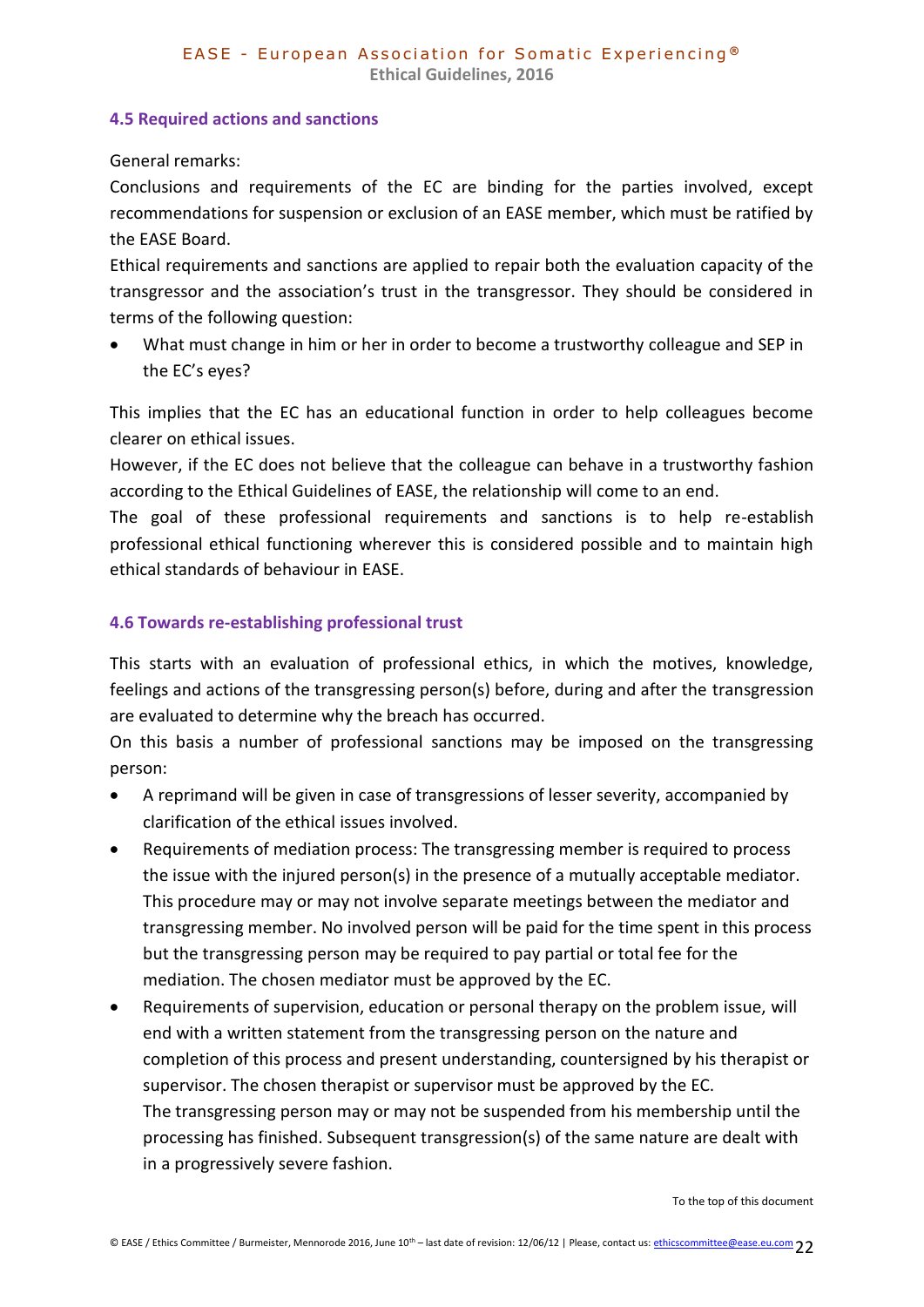## <span id="page-21-0"></span>**4.5 Required actions and sanctions**

General remarks:

Conclusions and requirements of the EC are binding for the parties involved, except recommendations for suspension or exclusion of an EASE member, which must be ratified by the EASE Board.

Ethical requirements and sanctions are applied to repair both the evaluation capacity of the transgressor and the association's trust in the transgressor. They should be considered in terms of the following question:

 What must change in him or her in order to become a trustworthy colleague and SEP in the EC's eyes?

This implies that the EC has an educational function in order to help colleagues become clearer on ethical issues.

However, if the EC does not believe that the colleague can behave in a trustworthy fashion according to the Ethical Guidelines of EASE, the relationship will come to an end.

The goal of these professional requirements and sanctions is to help re-establish professional ethical functioning wherever this is considered possible and to maintain high ethical standards of behaviour in EASE.

# <span id="page-21-1"></span>**4.6 Towards re-establishing professional trust**

This starts with an evaluation of professional ethics, in which the motives, knowledge, feelings and actions of the transgressing person(s) before, during and after the transgression are evaluated to determine why the breach has occurred.

On this basis a number of professional sanctions may be imposed on the transgressing person:

- A reprimand will be given in case of transgressions of lesser severity, accompanied by clarification of the ethical issues involved.
- Requirements of mediation process: The transgressing member is required to process the issue with the injured person(s) in the presence of a mutually acceptable mediator. This procedure may or may not involve separate meetings between the mediator and transgressing member. No involved person will be paid for the time spent in this process but the transgressing person may be required to pay partial or total fee for the mediation. The chosen mediator must be approved by the EC.
- Requirements of supervision, education or personal therapy on the problem issue, will end with a written statement from the transgressing person on the nature and completion of this process and present understanding, countersigned by his therapist or supervisor. The chosen therapist or supervisor must be approved by the EC. The transgressing person may or may not be suspended from his membership until the processing has finished. Subsequent transgression(s) of the same nature are dealt with in a progressively severe fashion.